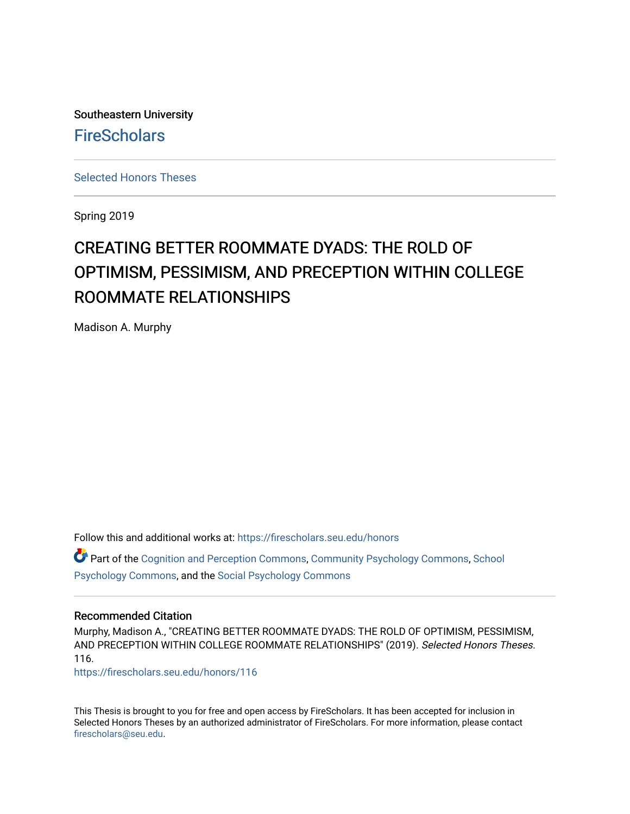Southeastern University **FireScholars** 

[Selected Honors Theses](https://firescholars.seu.edu/honors)

Spring 2019

# CREATING BETTER ROOMMATE DYADS: THE ROLD OF OPTIMISM, PESSIMISM, AND PRECEPTION WITHIN COLLEGE ROOMMATE RELATIONSHIPS

Madison A. Murphy

Follow this and additional works at: [https://firescholars.seu.edu/honors](https://firescholars.seu.edu/honors?utm_source=firescholars.seu.edu%2Fhonors%2F116&utm_medium=PDF&utm_campaign=PDFCoverPages)

Part of the [Cognition and Perception Commons,](http://network.bepress.com/hgg/discipline/407?utm_source=firescholars.seu.edu%2Fhonors%2F116&utm_medium=PDF&utm_campaign=PDFCoverPages) [Community Psychology Commons,](http://network.bepress.com/hgg/discipline/409?utm_source=firescholars.seu.edu%2Fhonors%2F116&utm_medium=PDF&utm_campaign=PDFCoverPages) [School](http://network.bepress.com/hgg/discipline/1072?utm_source=firescholars.seu.edu%2Fhonors%2F116&utm_medium=PDF&utm_campaign=PDFCoverPages)  [Psychology Commons,](http://network.bepress.com/hgg/discipline/1072?utm_source=firescholars.seu.edu%2Fhonors%2F116&utm_medium=PDF&utm_campaign=PDFCoverPages) and the [Social Psychology Commons](http://network.bepress.com/hgg/discipline/414?utm_source=firescholars.seu.edu%2Fhonors%2F116&utm_medium=PDF&utm_campaign=PDFCoverPages) 

### Recommended Citation

Murphy, Madison A., "CREATING BETTER ROOMMATE DYADS: THE ROLD OF OPTIMISM, PESSIMISM, AND PRECEPTION WITHIN COLLEGE ROOMMATE RELATIONSHIPS" (2019). Selected Honors Theses. 116.

[https://firescholars.seu.edu/honors/116](https://firescholars.seu.edu/honors/116?utm_source=firescholars.seu.edu%2Fhonors%2F116&utm_medium=PDF&utm_campaign=PDFCoverPages)

This Thesis is brought to you for free and open access by FireScholars. It has been accepted for inclusion in Selected Honors Theses by an authorized administrator of FireScholars. For more information, please contact [firescholars@seu.edu.](mailto:firescholars@seu.edu)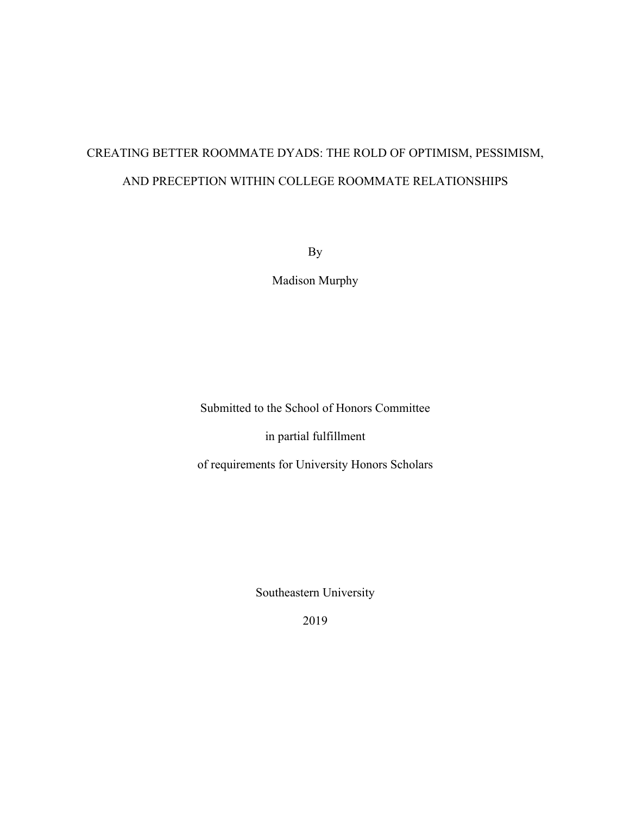# CREATING BETTER ROOMMATE DYADS: THE ROLD OF OPTIMISM, PESSIMISM, AND PRECEPTION WITHIN COLLEGE ROOMMATE RELATIONSHIPS

By

Madison Murphy

Submitted to the School of Honors Committee

in partial fulfillment

of requirements for University Honors Scholars

Southeastern University

2019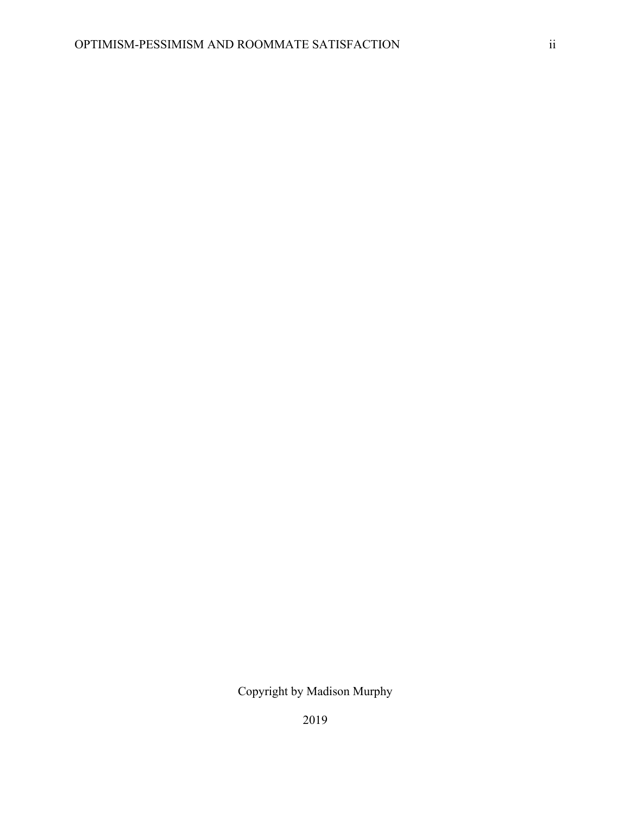2019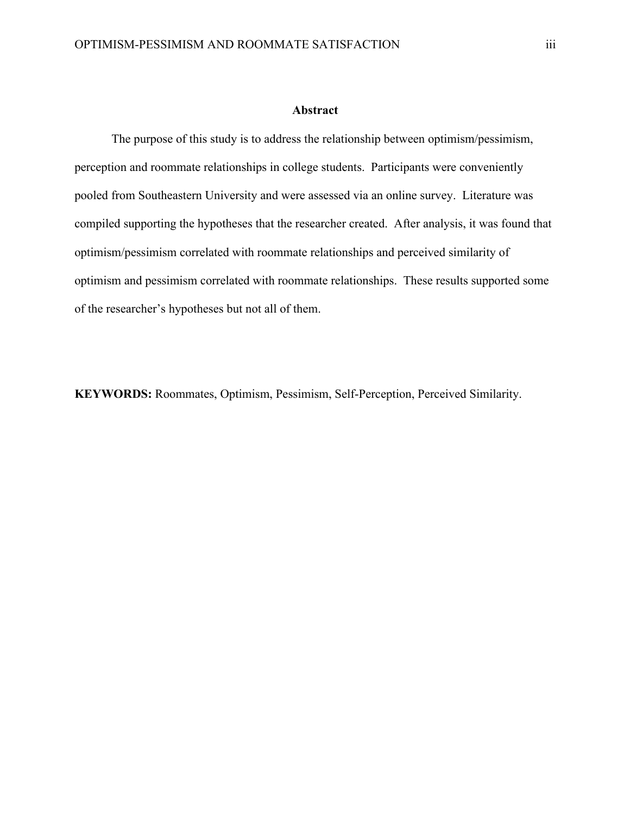# **Abstract**

The purpose of this study is to address the relationship between optimism/pessimism, perception and roommate relationships in college students. Participants were conveniently pooled from Southeastern University and were assessed via an online survey. Literature was compiled supporting the hypotheses that the researcher created. After analysis, it was found that optimism/pessimism correlated with roommate relationships and perceived similarity of optimism and pessimism correlated with roommate relationships. These results supported some of the researcher's hypotheses but not all of them.

**KEYWORDS:** Roommates, Optimism, Pessimism, Self-Perception, Perceived Similarity.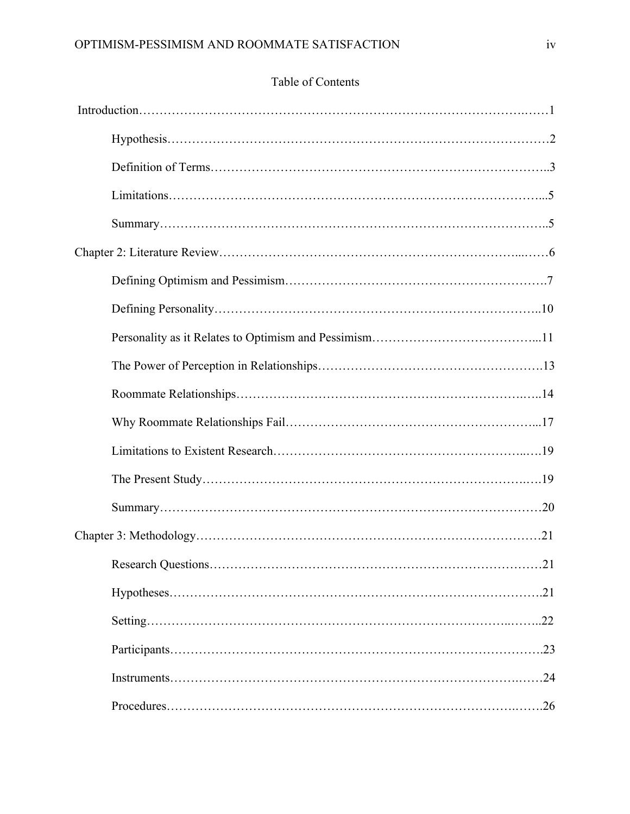# Table of Contents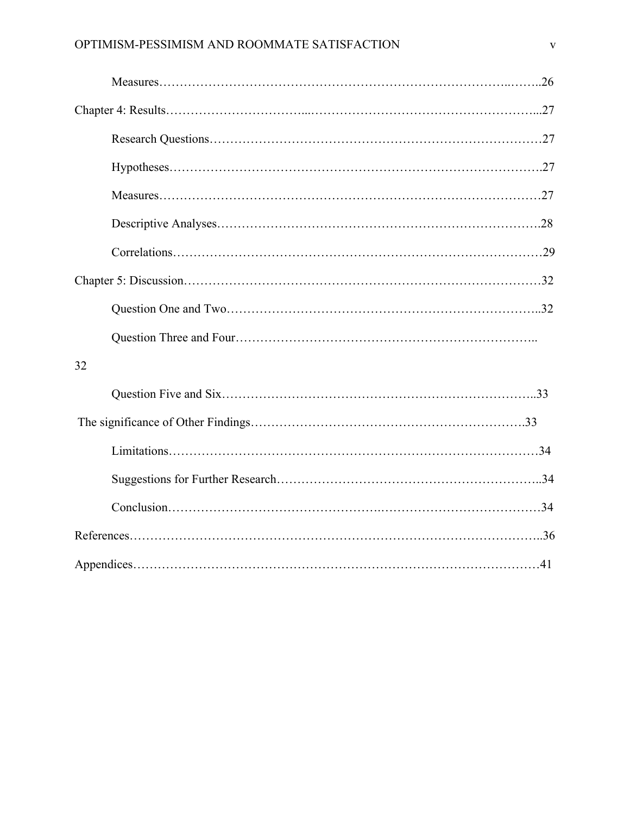| 32 |  |
|----|--|
|    |  |
|    |  |
|    |  |
|    |  |
|    |  |
|    |  |
|    |  |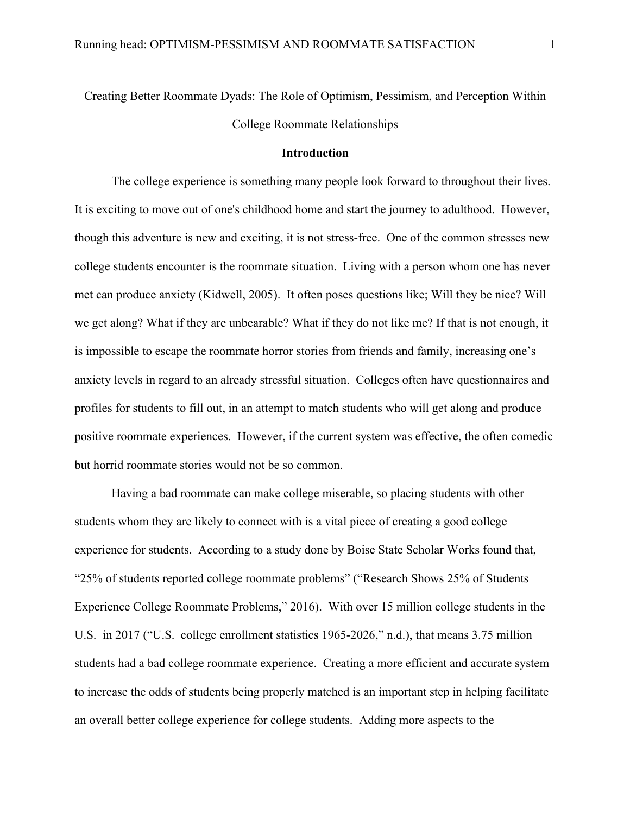# Creating Better Roommate Dyads: The Role of Optimism, Pessimism, and Perception Within College Roommate Relationships

# **Introduction**

The college experience is something many people look forward to throughout their lives. It is exciting to move out of one's childhood home and start the journey to adulthood. However, though this adventure is new and exciting, it is not stress-free. One of the common stresses new college students encounter is the roommate situation. Living with a person whom one has never met can produce anxiety (Kidwell, 2005). It often poses questions like; Will they be nice? Will we get along? What if they are unbearable? What if they do not like me? If that is not enough, it is impossible to escape the roommate horror stories from friends and family, increasing one's anxiety levels in regard to an already stressful situation. Colleges often have questionnaires and profiles for students to fill out, in an attempt to match students who will get along and produce positive roommate experiences. However, if the current system was effective, the often comedic but horrid roommate stories would not be so common.

Having a bad roommate can make college miserable, so placing students with other students whom they are likely to connect with is a vital piece of creating a good college experience for students. According to a study done by Boise State Scholar Works found that, "25% of students reported college roommate problems" ("Research Shows 25% of Students Experience College Roommate Problems," 2016). With over 15 million college students in the U.S. in 2017 ("U.S. college enrollment statistics 1965-2026," n.d.), that means 3.75 million students had a bad college roommate experience. Creating a more efficient and accurate system to increase the odds of students being properly matched is an important step in helping facilitate an overall better college experience for college students. Adding more aspects to the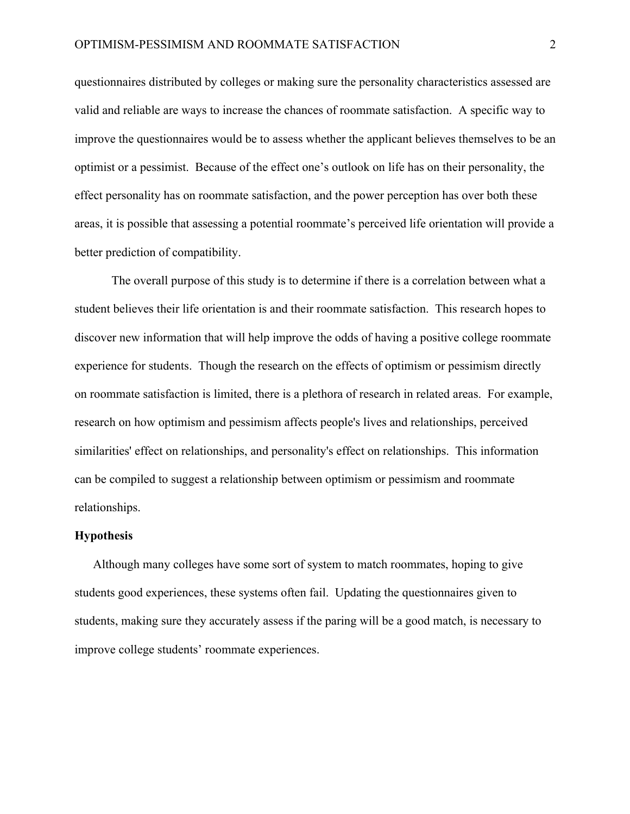questionnaires distributed by colleges or making sure the personality characteristics assessed are valid and reliable are ways to increase the chances of roommate satisfaction. A specific way to improve the questionnaires would be to assess whether the applicant believes themselves to be an optimist or a pessimist. Because of the effect one's outlook on life has on their personality, the effect personality has on roommate satisfaction, and the power perception has over both these areas, it is possible that assessing a potential roommate's perceived life orientation will provide a better prediction of compatibility.

The overall purpose of this study is to determine if there is a correlation between what a student believes their life orientation is and their roommate satisfaction. This research hopes to discover new information that will help improve the odds of having a positive college roommate experience for students. Though the research on the effects of optimism or pessimism directly on roommate satisfaction is limited, there is a plethora of research in related areas. For example, research on how optimism and pessimism affects people's lives and relationships, perceived similarities' effect on relationships, and personality's effect on relationships. This information can be compiled to suggest a relationship between optimism or pessimism and roommate relationships.

#### **Hypothesis**

Although many colleges have some sort of system to match roommates, hoping to give students good experiences, these systems often fail. Updating the questionnaires given to students, making sure they accurately assess if the paring will be a good match, is necessary to improve college students' roommate experiences.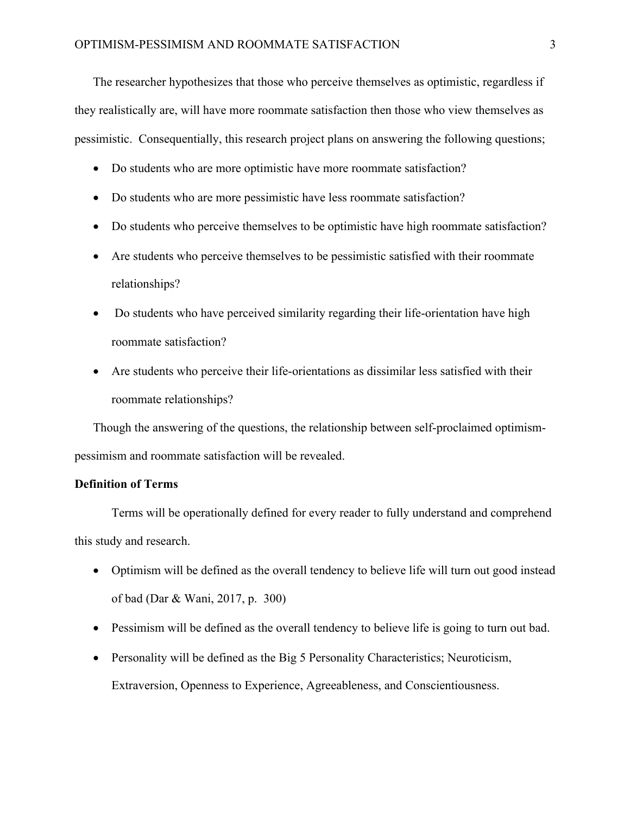The researcher hypothesizes that those who perceive themselves as optimistic, regardless if they realistically are, will have more roommate satisfaction then those who view themselves as pessimistic. Consequentially, this research project plans on answering the following questions;

- Do students who are more optimistic have more roommate satisfaction?
- Do students who are more pessimistic have less roommate satisfaction?
- Do students who perceive themselves to be optimistic have high roommate satisfaction?
- Are students who perceive themselves to be pessimistic satisfied with their roommate relationships?
- Do students who have perceived similarity regarding their life-orientation have high roommate satisfaction?
- Are students who perceive their life-orientations as dissimilar less satisfied with their roommate relationships?

Though the answering of the questions, the relationship between self-proclaimed optimismpessimism and roommate satisfaction will be revealed.

# **Definition of Terms**

Terms will be operationally defined for every reader to fully understand and comprehend this study and research.

- Optimism will be defined as the overall tendency to believe life will turn out good instead of bad (Dar & Wani, 2017, p. 300)
- Pessimism will be defined as the overall tendency to believe life is going to turn out bad.
- Personality will be defined as the Big 5 Personality Characteristics; Neuroticism,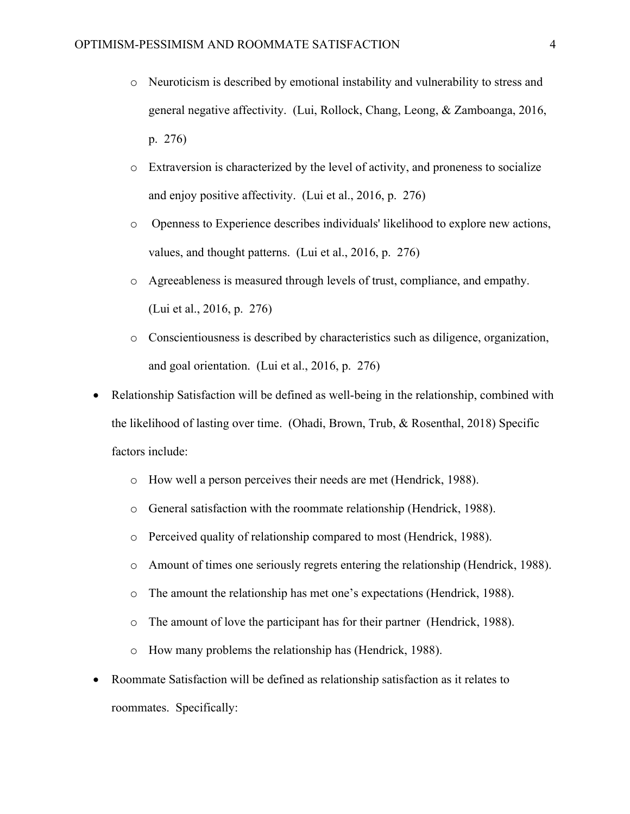- o Neuroticism is described by emotional instability and vulnerability to stress and general negative affectivity. (Lui, Rollock, Chang, Leong, & Zamboanga, 2016, p. 276)
- o Extraversion is characterized by the level of activity, and proneness to socialize and enjoy positive affectivity. (Lui et al., 2016, p. 276)
- o Openness to Experience describes individuals' likelihood to explore new actions, values, and thought patterns. (Lui et al., 2016, p. 276)
- o Agreeableness is measured through levels of trust, compliance, and empathy. (Lui et al., 2016, p. 276)
- o Conscientiousness is described by characteristics such as diligence, organization, and goal orientation. (Lui et al., 2016, p. 276)
- Relationship Satisfaction will be defined as well-being in the relationship, combined with the likelihood of lasting over time. (Ohadi, Brown, Trub, & Rosenthal, 2018) Specific factors include:
	- o How well a person perceives their needs are met (Hendrick, 1988).
	- o General satisfaction with the roommate relationship (Hendrick, 1988).
	- o Perceived quality of relationship compared to most (Hendrick, 1988).
	- o Amount of times one seriously regrets entering the relationship (Hendrick, 1988).
	- o The amount the relationship has met one's expectations (Hendrick, 1988).
	- o The amount of love the participant has for their partner (Hendrick, 1988).
	- o How many problems the relationship has (Hendrick, 1988).
- Roommate Satisfaction will be defined as relationship satisfaction as it relates to roommates. Specifically: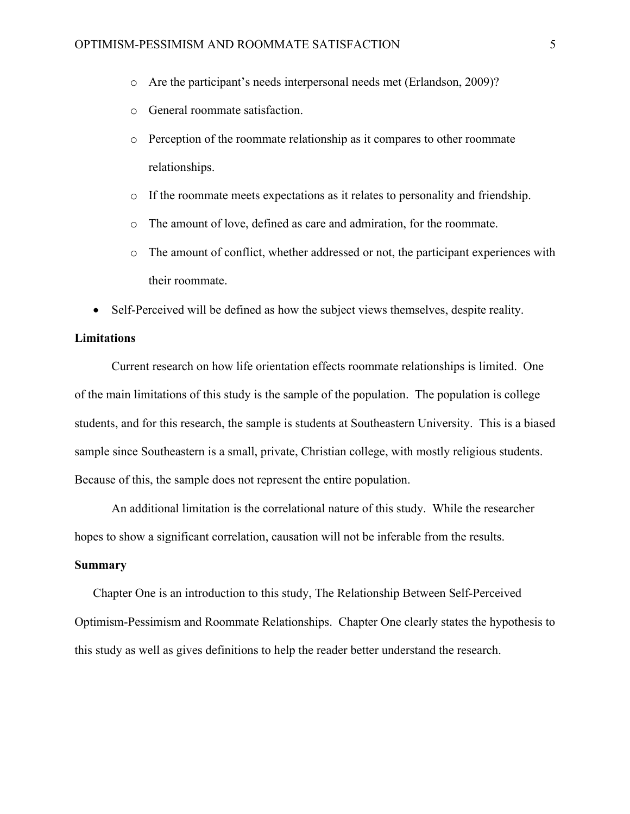- o Are the participant's needs interpersonal needs met (Erlandson, 2009)?
- o General roommate satisfaction.
- $\circ$  Perception of the roommate relationship as it compares to other roommate relationships.
- o If the roommate meets expectations as it relates to personality and friendship.
- o The amount of love, defined as care and admiration, for the roommate.
- o The amount of conflict, whether addressed or not, the participant experiences with their roommate.
- Self-Perceived will be defined as how the subject views themselves, despite reality.

# **Limitations**

Current research on how life orientation effects roommate relationships is limited. One of the main limitations of this study is the sample of the population. The population is college students, and for this research, the sample is students at Southeastern University. This is a biased sample since Southeastern is a small, private, Christian college, with mostly religious students. Because of this, the sample does not represent the entire population.

An additional limitation is the correlational nature of this study. While the researcher hopes to show a significant correlation, causation will not be inferable from the results.

# **Summary**

Chapter One is an introduction to this study, The Relationship Between Self-Perceived Optimism-Pessimism and Roommate Relationships. Chapter One clearly states the hypothesis to this study as well as gives definitions to help the reader better understand the research.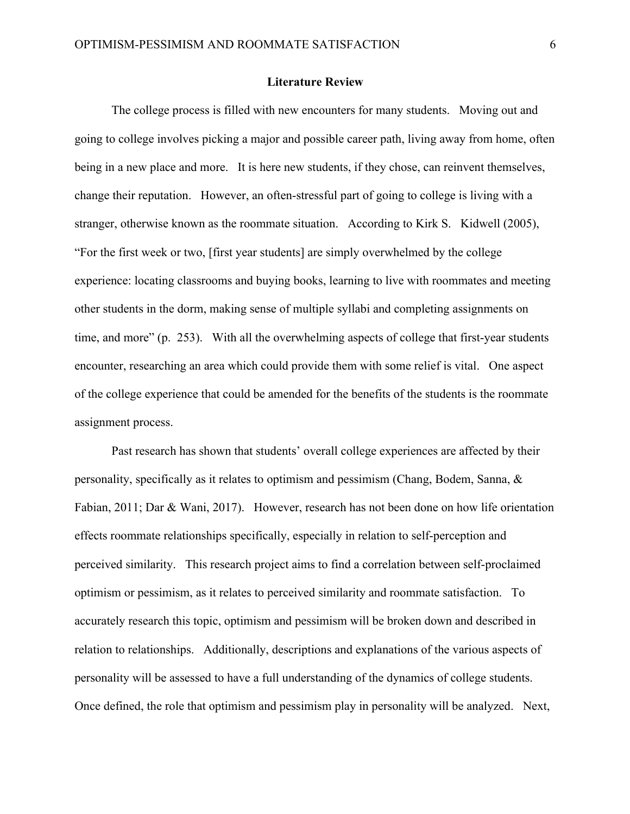#### **Literature Review**

The college process is filled with new encounters for many students. Moving out and going to college involves picking a major and possible career path, living away from home, often being in a new place and more. It is here new students, if they chose, can reinvent themselves, change their reputation. However, an often-stressful part of going to college is living with a stranger, otherwise known as the roommate situation. According to Kirk S. Kidwell (2005), "For the first week or two, [first year students] are simply overwhelmed by the college experience: locating classrooms and buying books, learning to live with roommates and meeting other students in the dorm, making sense of multiple syllabi and completing assignments on time, and more" (p. 253). With all the overwhelming aspects of college that first-year students encounter, researching an area which could provide them with some relief is vital. One aspect of the college experience that could be amended for the benefits of the students is the roommate assignment process.

Past research has shown that students' overall college experiences are affected by their personality, specifically as it relates to optimism and pessimism (Chang, Bodem, Sanna, & Fabian, 2011; Dar & Wani, 2017). However, research has not been done on how life orientation effects roommate relationships specifically, especially in relation to self-perception and perceived similarity. This research project aims to find a correlation between self-proclaimed optimism or pessimism, as it relates to perceived similarity and roommate satisfaction. To accurately research this topic, optimism and pessimism will be broken down and described in relation to relationships. Additionally, descriptions and explanations of the various aspects of personality will be assessed to have a full understanding of the dynamics of college students. Once defined, the role that optimism and pessimism play in personality will be analyzed. Next,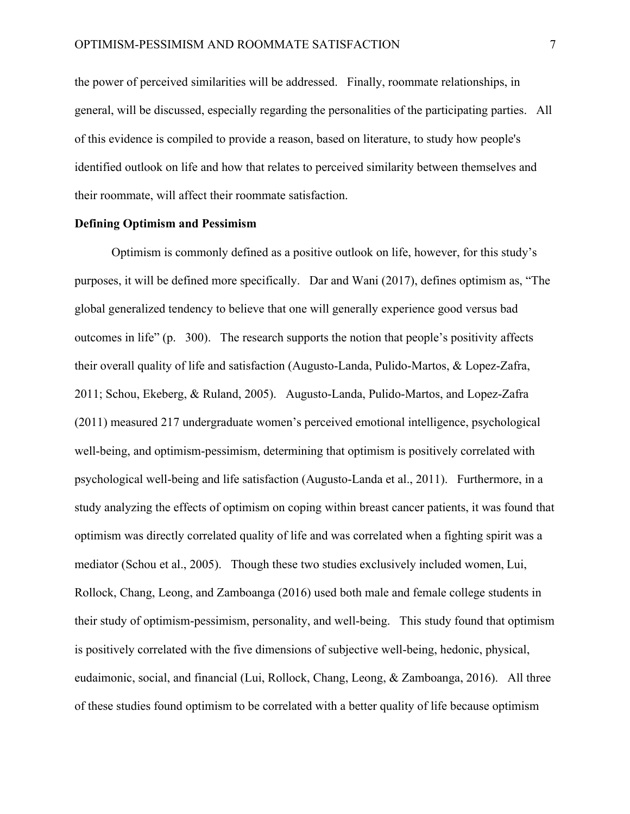the power of perceived similarities will be addressed. Finally, roommate relationships, in general, will be discussed, especially regarding the personalities of the participating parties. All of this evidence is compiled to provide a reason, based on literature, to study how people's identified outlook on life and how that relates to perceived similarity between themselves and their roommate, will affect their roommate satisfaction.

#### **Defining Optimism and Pessimism**

Optimism is commonly defined as a positive outlook on life, however, for this study's purposes, it will be defined more specifically. Dar and Wani (2017), defines optimism as, "The global generalized tendency to believe that one will generally experience good versus bad outcomes in life" (p. 300). The research supports the notion that people's positivity affects their overall quality of life and satisfaction (Augusto-Landa, Pulido-Martos, & Lopez-Zafra, 2011; Schou, Ekeberg, & Ruland, 2005). Augusto-Landa, Pulido-Martos, and Lopez-Zafra (2011) measured 217 undergraduate women's perceived emotional intelligence, psychological well-being, and optimism-pessimism, determining that optimism is positively correlated with psychological well-being and life satisfaction (Augusto-Landa et al., 2011). Furthermore, in a study analyzing the effects of optimism on coping within breast cancer patients, it was found that optimism was directly correlated quality of life and was correlated when a fighting spirit was a mediator (Schou et al., 2005). Though these two studies exclusively included women, Lui, Rollock, Chang, Leong, and Zamboanga (2016) used both male and female college students in their study of optimism-pessimism, personality, and well-being. This study found that optimism is positively correlated with the five dimensions of subjective well-being, hedonic, physical, eudaimonic, social, and financial (Lui, Rollock, Chang, Leong, & Zamboanga, 2016). All three of these studies found optimism to be correlated with a better quality of life because optimism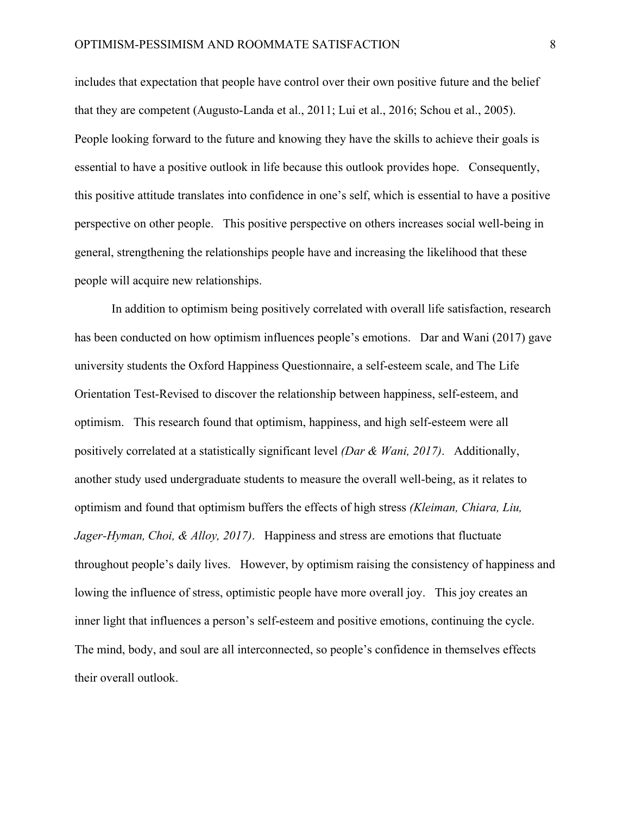includes that expectation that people have control over their own positive future and the belief that they are competent (Augusto-Landa et al., 2011; Lui et al., 2016; Schou et al., 2005). People looking forward to the future and knowing they have the skills to achieve their goals is essential to have a positive outlook in life because this outlook provides hope. Consequently, this positive attitude translates into confidence in one's self, which is essential to have a positive perspective on other people. This positive perspective on others increases social well-being in general, strengthening the relationships people have and increasing the likelihood that these people will acquire new relationships.

In addition to optimism being positively correlated with overall life satisfaction, research has been conducted on how optimism influences people's emotions. Dar and Wani (2017) gave university students the Oxford Happiness Questionnaire, a self-esteem scale, and The Life Orientation Test-Revised to discover the relationship between happiness, self-esteem, and optimism. This research found that optimism, happiness, and high self-esteem were all positively correlated at a statistically significant level *(Dar & Wani, 2017)*. Additionally, another study used undergraduate students to measure the overall well-being, as it relates to optimism and found that optimism buffers the effects of high stress *(Kleiman, Chiara, Liu, Jager-Hyman, Choi, & Alloy, 2017)*. Happiness and stress are emotions that fluctuate throughout people's daily lives. However, by optimism raising the consistency of happiness and lowing the influence of stress, optimistic people have more overall joy. This joy creates an inner light that influences a person's self-esteem and positive emotions, continuing the cycle. The mind, body, and soul are all interconnected, so people's confidence in themselves effects their overall outlook.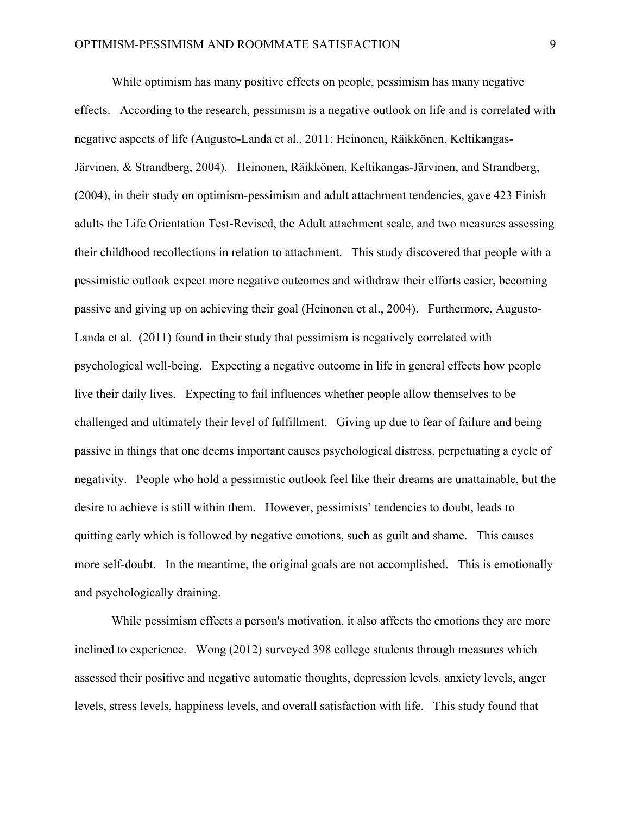While optimism has many positive effects on people, pessimism has many negative effects. According to the research, pessimism is a negative outlook on life and is correlated with negative aspects of life (Augusto-Landa et al., 2011; Heinonen, Räikkönen, Keltikangas-Järvinen, & Strandberg, 2004). Heinonen, Räikkönen, Keltikangas-Järvinen, and Strandberg, (2004), in their study on optimism-pessimism and adult attachment tendencies, gave 423 Finish adults the Life Orientation Test-Revised, the Adult attachment scale, and two measures assessing their childhood recollections in relation to attachment. This study discovered that people with a pessimistic outlook expect more negative outcomes and withdraw their efforts easier, becoming passive and giving up on achieving their goal (Heinonen et al., 2004). Furthermore, Augusto-Landa et al. (2011) found in their study that pessimism is negatively correlated with psychological well-being. Expecting a negative outcome in life in general effects how people live their daily lives. Expecting to fail influences whether people allow themselves to be challenged and ultimately their level of fulfillment. Giving up due to fear of failure and being passive in things that one deems important causes psychological distress, perpetuating a cycle of negativity. People who hold a pessimistic outlook feel like their dreams are unattainable, but the desire to achieve is still within them. However, pessimists' tendencies to doubt, leads to quitting early which is followed by negative emotions, such as guilt and shame. This causes more self-doubt. In the meantime, the original goals are not accomplished. This is emotionally and psychologically draining.

While pessimism effects a person's motivation, it also affects the emotions they are more inclined to experience. Wong (2012) surveyed 398 college students through measures which assessed their positive and negative automatic thoughts, depression levels, anxiety levels, anger levels, stress levels, happiness levels, and overall satisfaction with life. This study found that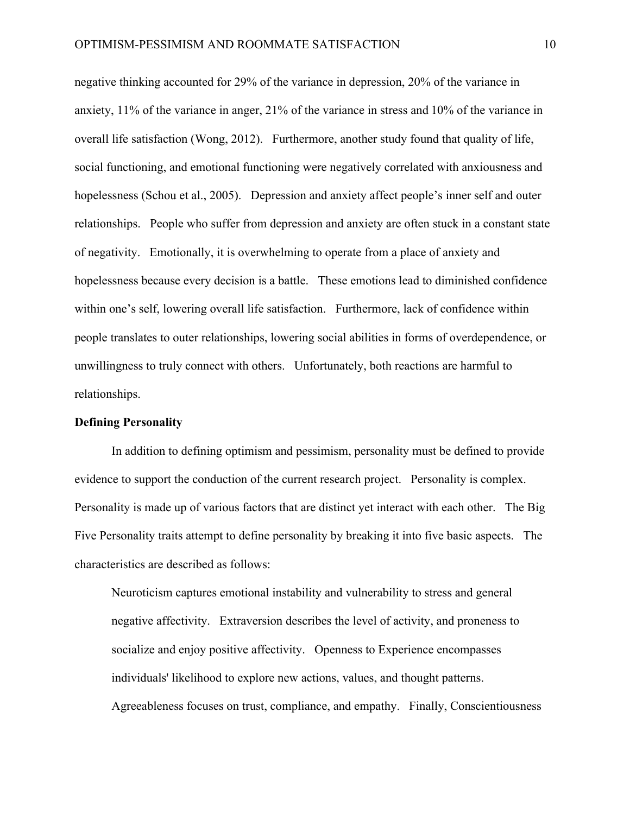negative thinking accounted for 29% of the variance in depression, 20% of the variance in anxiety, 11% of the variance in anger, 21% of the variance in stress and 10% of the variance in overall life satisfaction (Wong, 2012). Furthermore, another study found that quality of life, social functioning, and emotional functioning were negatively correlated with anxiousness and hopelessness (Schou et al., 2005). Depression and anxiety affect people's inner self and outer relationships. People who suffer from depression and anxiety are often stuck in a constant state of negativity. Emotionally, it is overwhelming to operate from a place of anxiety and hopelessness because every decision is a battle. These emotions lead to diminished confidence within one's self, lowering overall life satisfaction. Furthermore, lack of confidence within people translates to outer relationships, lowering social abilities in forms of overdependence, or unwillingness to truly connect with others. Unfortunately, both reactions are harmful to relationships.

#### **Defining Personality**

In addition to defining optimism and pessimism, personality must be defined to provide evidence to support the conduction of the current research project. Personality is complex. Personality is made up of various factors that are distinct yet interact with each other. The Big Five Personality traits attempt to define personality by breaking it into five basic aspects. The characteristics are described as follows:

Neuroticism captures emotional instability and vulnerability to stress and general negative affectivity. Extraversion describes the level of activity, and proneness to socialize and enjoy positive affectivity. Openness to Experience encompasses individuals' likelihood to explore new actions, values, and thought patterns. Agreeableness focuses on trust, compliance, and empathy. Finally, Conscientiousness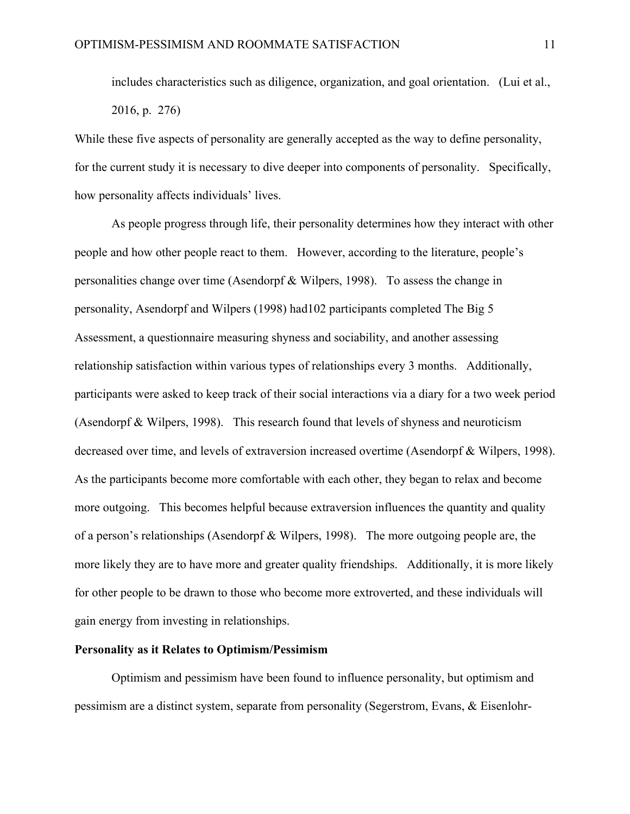includes characteristics such as diligence, organization, and goal orientation. (Lui et al., 2016, p. 276)

While these five aspects of personality are generally accepted as the way to define personality, for the current study it is necessary to dive deeper into components of personality. Specifically, how personality affects individuals' lives.

As people progress through life, their personality determines how they interact with other people and how other people react to them. However, according to the literature, people's personalities change over time (Asendorpf & Wilpers, 1998). To assess the change in personality, Asendorpf and Wilpers (1998) had102 participants completed The Big 5 Assessment, a questionnaire measuring shyness and sociability, and another assessing relationship satisfaction within various types of relationships every 3 months. Additionally, participants were asked to keep track of their social interactions via a diary for a two week period (Asendorpf & Wilpers, 1998). This research found that levels of shyness and neuroticism decreased over time, and levels of extraversion increased overtime (Asendorpf & Wilpers, 1998). As the participants become more comfortable with each other, they began to relax and become more outgoing. This becomes helpful because extraversion influences the quantity and quality of a person's relationships (Asendorpf & Wilpers, 1998). The more outgoing people are, the more likely they are to have more and greater quality friendships. Additionally, it is more likely for other people to be drawn to those who become more extroverted, and these individuals will gain energy from investing in relationships.

# **Personality as it Relates to Optimism/Pessimism**

Optimism and pessimism have been found to influence personality, but optimism and pessimism are a distinct system, separate from personality (Segerstrom, Evans, & Eisenlohr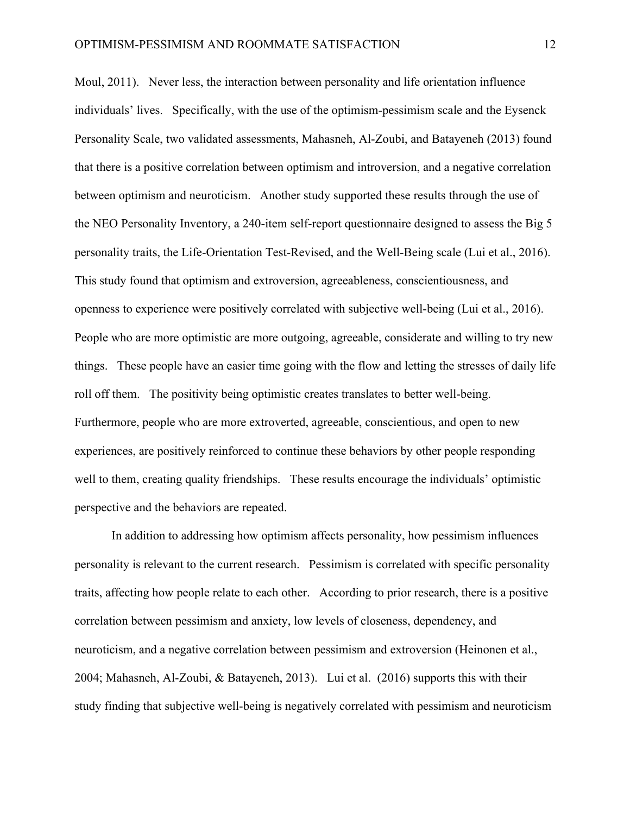Moul, 2011). Never less, the interaction between personality and life orientation influence individuals' lives. Specifically, with the use of the optimism-pessimism scale and the Eysenck Personality Scale, two validated assessments, Mahasneh, Al-Zoubi, and Batayeneh (2013) found that there is a positive correlation between optimism and introversion, and a negative correlation between optimism and neuroticism. Another study supported these results through the use of the NEO Personality Inventory, a 240-item self-report questionnaire designed to assess the Big 5 personality traits, the Life-Orientation Test-Revised, and the Well-Being scale (Lui et al., 2016). This study found that optimism and extroversion, agreeableness, conscientiousness, and openness to experience were positively correlated with subjective well-being (Lui et al., 2016). People who are more optimistic are more outgoing, agreeable, considerate and willing to try new things. These people have an easier time going with the flow and letting the stresses of daily life roll off them. The positivity being optimistic creates translates to better well-being. Furthermore, people who are more extroverted, agreeable, conscientious, and open to new experiences, are positively reinforced to continue these behaviors by other people responding well to them, creating quality friendships. These results encourage the individuals' optimistic perspective and the behaviors are repeated.

In addition to addressing how optimism affects personality, how pessimism influences personality is relevant to the current research. Pessimism is correlated with specific personality traits, affecting how people relate to each other. According to prior research, there is a positive correlation between pessimism and anxiety, low levels of closeness, dependency, and neuroticism, and a negative correlation between pessimism and extroversion (Heinonen et al., 2004; Mahasneh, Al-Zoubi, & Batayeneh, 2013). Lui et al. (2016) supports this with their study finding that subjective well-being is negatively correlated with pessimism and neuroticism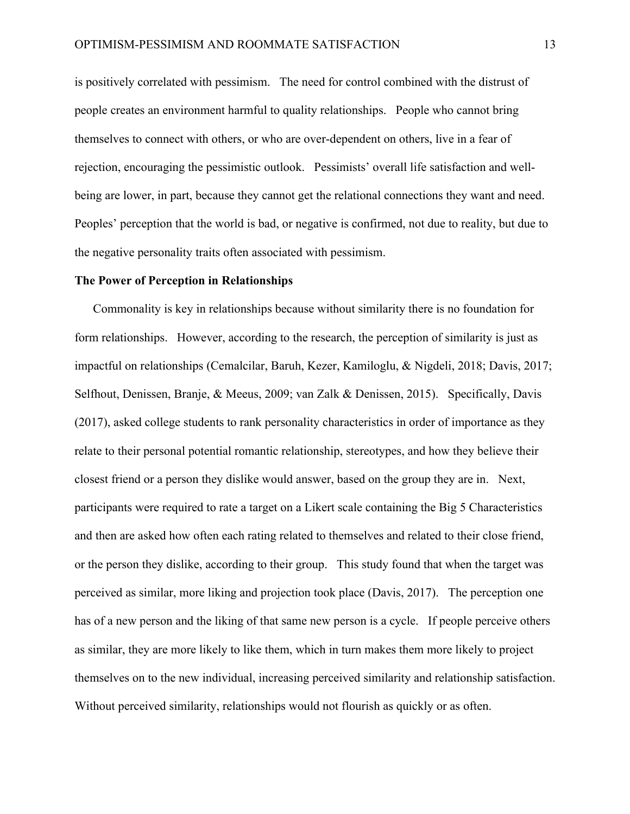is positively correlated with pessimism. The need for control combined with the distrust of people creates an environment harmful to quality relationships. People who cannot bring themselves to connect with others, or who are over-dependent on others, live in a fear of rejection, encouraging the pessimistic outlook. Pessimists' overall life satisfaction and wellbeing are lower, in part, because they cannot get the relational connections they want and need. Peoples' perception that the world is bad, or negative is confirmed, not due to reality, but due to the negative personality traits often associated with pessimism.

#### **The Power of Perception in Relationships**

Commonality is key in relationships because without similarity there is no foundation for form relationships. However, according to the research, the perception of similarity is just as impactful on relationships (Cemalcilar, Baruh, Kezer, Kamiloglu, & Nigdeli, 2018; Davis, 2017; Selfhout, Denissen, Branje, & Meeus, 2009; van Zalk & Denissen, 2015). Specifically, Davis (2017), asked college students to rank personality characteristics in order of importance as they relate to their personal potential romantic relationship, stereotypes, and how they believe their closest friend or a person they dislike would answer, based on the group they are in. Next, participants were required to rate a target on a Likert scale containing the Big 5 Characteristics and then are asked how often each rating related to themselves and related to their close friend, or the person they dislike, according to their group. This study found that when the target was perceived as similar, more liking and projection took place (Davis, 2017). The perception one has of a new person and the liking of that same new person is a cycle. If people perceive others as similar, they are more likely to like them, which in turn makes them more likely to project themselves on to the new individual, increasing perceived similarity and relationship satisfaction. Without perceived similarity, relationships would not flourish as quickly or as often.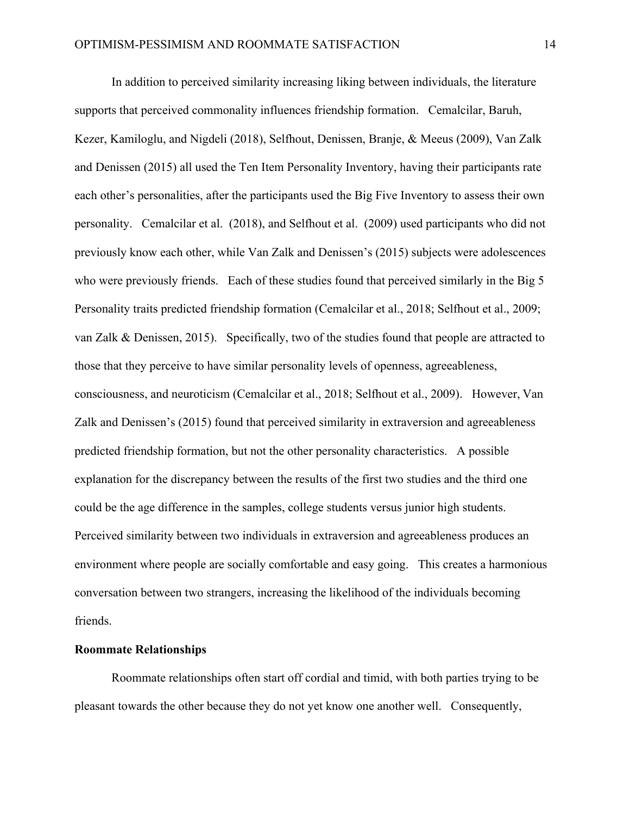In addition to perceived similarity increasing liking between individuals, the literature supports that perceived commonality influences friendship formation. Cemalcilar, Baruh, Kezer, Kamiloglu, and Nigdeli (2018), Selfhout, Denissen, Branje, & Meeus (2009), Van Zalk and Denissen (2015) all used the Ten Item Personality Inventory, having their participants rate each other's personalities, after the participants used the Big Five Inventory to assess their own personality. Cemalcilar et al. (2018), and Selfhout et al. (2009) used participants who did not previously know each other, while Van Zalk and Denissen's (2015) subjects were adolescences who were previously friends. Each of these studies found that perceived similarly in the Big 5 Personality traits predicted friendship formation (Cemalcilar et al., 2018; Selfhout et al., 2009; van Zalk & Denissen, 2015). Specifically, two of the studies found that people are attracted to those that they perceive to have similar personality levels of openness, agreeableness, consciousness, and neuroticism (Cemalcilar et al., 2018; Selfhout et al., 2009). However, Van Zalk and Denissen's (2015) found that perceived similarity in extraversion and agreeableness predicted friendship formation, but not the other personality characteristics. A possible explanation for the discrepancy between the results of the first two studies and the third one could be the age difference in the samples, college students versus junior high students. Perceived similarity between two individuals in extraversion and agreeableness produces an environment where people are socially comfortable and easy going. This creates a harmonious conversation between two strangers, increasing the likelihood of the individuals becoming friends.

# **Roommate Relationships**

Roommate relationships often start off cordial and timid, with both parties trying to be pleasant towards the other because they do not yet know one another well. Consequently,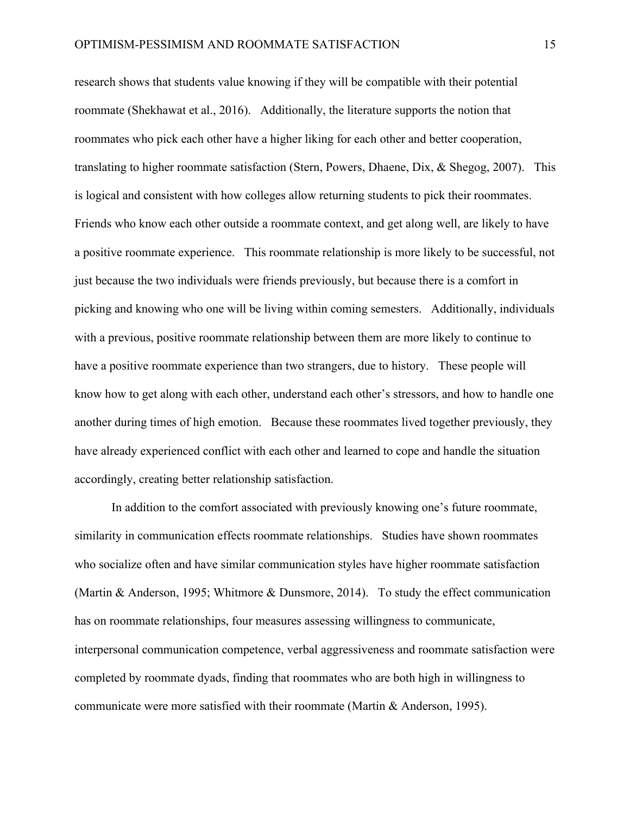research shows that students value knowing if they will be compatible with their potential roommate (Shekhawat et al., 2016). Additionally, the literature supports the notion that roommates who pick each other have a higher liking for each other and better cooperation, translating to higher roommate satisfaction (Stern, Powers, Dhaene, Dix, & Shegog, 2007). This is logical and consistent with how colleges allow returning students to pick their roommates. Friends who know each other outside a roommate context, and get along well, are likely to have a positive roommate experience. This roommate relationship is more likely to be successful, not just because the two individuals were friends previously, but because there is a comfort in picking and knowing who one will be living within coming semesters. Additionally, individuals with a previous, positive roommate relationship between them are more likely to continue to have a positive roommate experience than two strangers, due to history. These people will know how to get along with each other, understand each other's stressors, and how to handle one another during times of high emotion. Because these roommates lived together previously, they have already experienced conflict with each other and learned to cope and handle the situation accordingly, creating better relationship satisfaction.

In addition to the comfort associated with previously knowing one's future roommate, similarity in communication effects roommate relationships. Studies have shown roommates who socialize often and have similar communication styles have higher roommate satisfaction (Martin & Anderson, 1995; Whitmore & Dunsmore, 2014). To study the effect communication has on roommate relationships, four measures assessing willingness to communicate, interpersonal communication competence, verbal aggressiveness and roommate satisfaction were completed by roommate dyads, finding that roommates who are both high in willingness to communicate were more satisfied with their roommate (Martin & Anderson, 1995).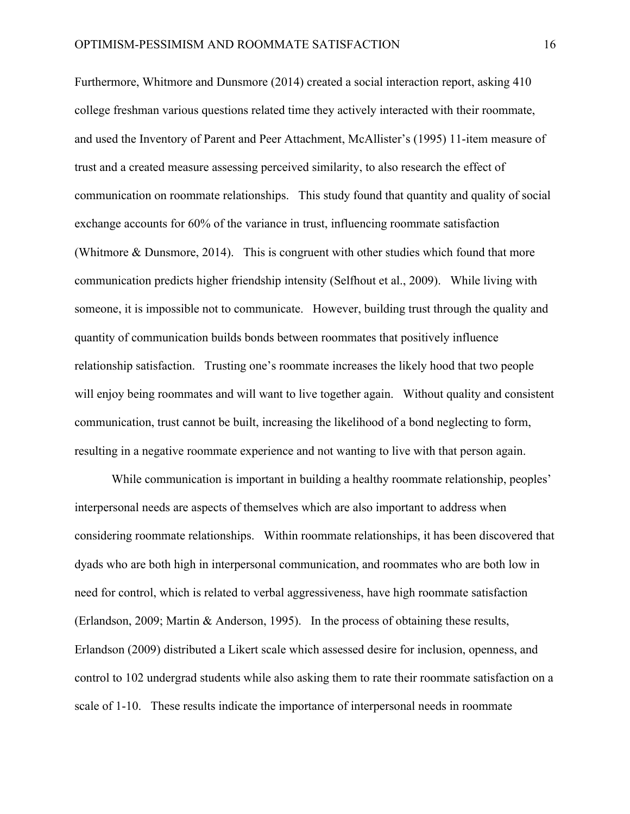Furthermore, Whitmore and Dunsmore (2014) created a social interaction report, asking 410 college freshman various questions related time they actively interacted with their roommate, and used the Inventory of Parent and Peer Attachment, McAllister's (1995) 11-item measure of trust and a created measure assessing perceived similarity, to also research the effect of communication on roommate relationships. This study found that quantity and quality of social exchange accounts for 60% of the variance in trust, influencing roommate satisfaction (Whitmore & Dunsmore, 2014). This is congruent with other studies which found that more communication predicts higher friendship intensity (Selfhout et al., 2009). While living with someone, it is impossible not to communicate. However, building trust through the quality and quantity of communication builds bonds between roommates that positively influence relationship satisfaction. Trusting one's roommate increases the likely hood that two people will enjoy being roommates and will want to live together again. Without quality and consistent communication, trust cannot be built, increasing the likelihood of a bond neglecting to form, resulting in a negative roommate experience and not wanting to live with that person again.

While communication is important in building a healthy roommate relationship, peoples' interpersonal needs are aspects of themselves which are also important to address when considering roommate relationships. Within roommate relationships, it has been discovered that dyads who are both high in interpersonal communication, and roommates who are both low in need for control, which is related to verbal aggressiveness, have high roommate satisfaction (Erlandson, 2009; Martin & Anderson, 1995). In the process of obtaining these results, Erlandson (2009) distributed a Likert scale which assessed desire for inclusion, openness, and control to 102 undergrad students while also asking them to rate their roommate satisfaction on a scale of 1-10. These results indicate the importance of interpersonal needs in roommate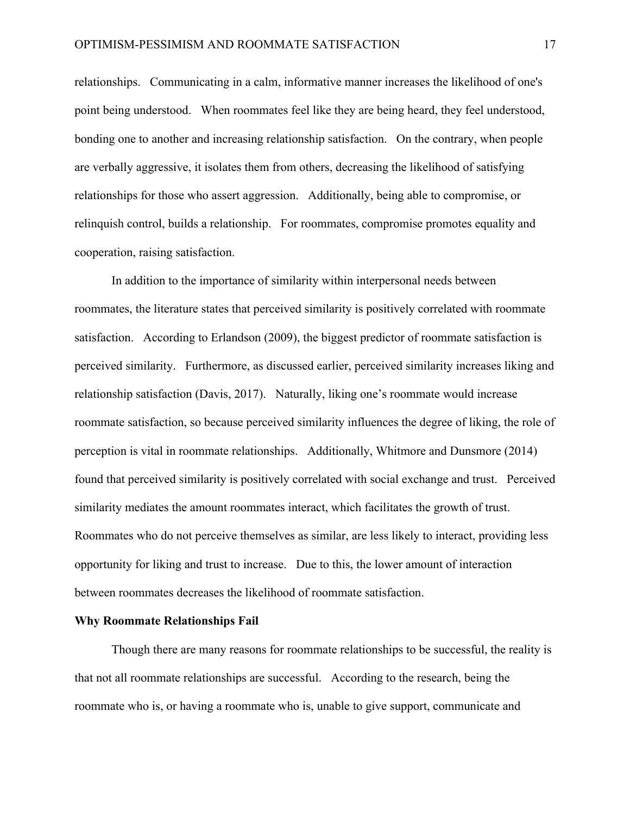relationships. Communicating in a calm, informative manner increases the likelihood of one's point being understood. When roommates feel like they are being heard, they feel understood, bonding one to another and increasing relationship satisfaction. On the contrary, when people are verbally aggressive, it isolates them from others, decreasing the likelihood of satisfying relationships for those who assert aggression. Additionally, being able to compromise, or relinquish control, builds a relationship. For roommates, compromise promotes equality and cooperation, raising satisfaction.

In addition to the importance of similarity within interpersonal needs between roommates, the literature states that perceived similarity is positively correlated with roommate satisfaction. According to Erlandson (2009), the biggest predictor of roommate satisfaction is perceived similarity. Furthermore, as discussed earlier, perceived similarity increases liking and relationship satisfaction (Davis, 2017). Naturally, liking one's roommate would increase roommate satisfaction, so because perceived similarity influences the degree of liking, the role of perception is vital in roommate relationships. Additionally, Whitmore and Dunsmore (2014) found that perceived similarity is positively correlated with social exchange and trust. Perceived similarity mediates the amount roommates interact, which facilitates the growth of trust. Roommates who do not perceive themselves as similar, are less likely to interact, providing less opportunity for liking and trust to increase. Due to this, the lower amount of interaction between roommates decreases the likelihood of roommate satisfaction.

#### **Why Roommate Relationships Fail**

Though there are many reasons for roommate relationships to be successful, the reality is that not all roommate relationships are successful. According to the research, being the roommate who is, or having a roommate who is, unable to give support, communicate and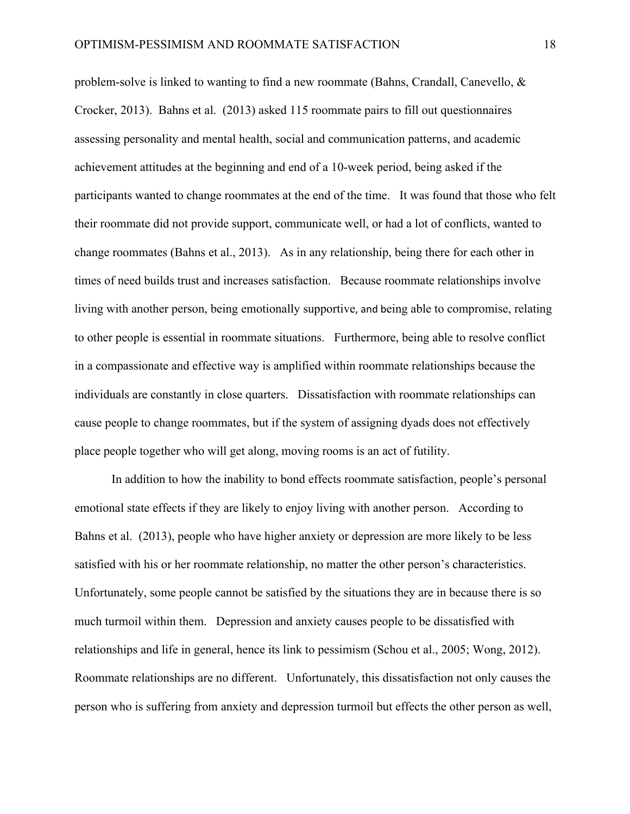problem-solve is linked to wanting to find a new roommate (Bahns, Crandall, Canevello, & Crocker, 2013). Bahns et al. (2013) asked 115 roommate pairs to fill out questionnaires assessing personality and mental health, social and communication patterns, and academic achievement attitudes at the beginning and end of a 10-week period, being asked if the participants wanted to change roommates at the end of the time. It was found that those who felt their roommate did not provide support, communicate well, or had a lot of conflicts, wanted to change roommates (Bahns et al., 2013). As in any relationship, being there for each other in times of need builds trust and increases satisfaction. Because roommate relationships involve living with another person, being emotionally supportive, and being able to compromise, relating to other people is essential in roommate situations. Furthermore, being able to resolve conflict in a compassionate and effective way is amplified within roommate relationships because the individuals are constantly in close quarters. Dissatisfaction with roommate relationships can cause people to change roommates, but if the system of assigning dyads does not effectively place people together who will get along, moving rooms is an act of futility.

In addition to how the inability to bond effects roommate satisfaction, people's personal emotional state effects if they are likely to enjoy living with another person. According to Bahns et al. (2013), people who have higher anxiety or depression are more likely to be less satisfied with his or her roommate relationship, no matter the other person's characteristics. Unfortunately, some people cannot be satisfied by the situations they are in because there is so much turmoil within them. Depression and anxiety causes people to be dissatisfied with relationships and life in general, hence its link to pessimism (Schou et al., 2005; Wong, 2012). Roommate relationships are no different. Unfortunately, this dissatisfaction not only causes the person who is suffering from anxiety and depression turmoil but effects the other person as well,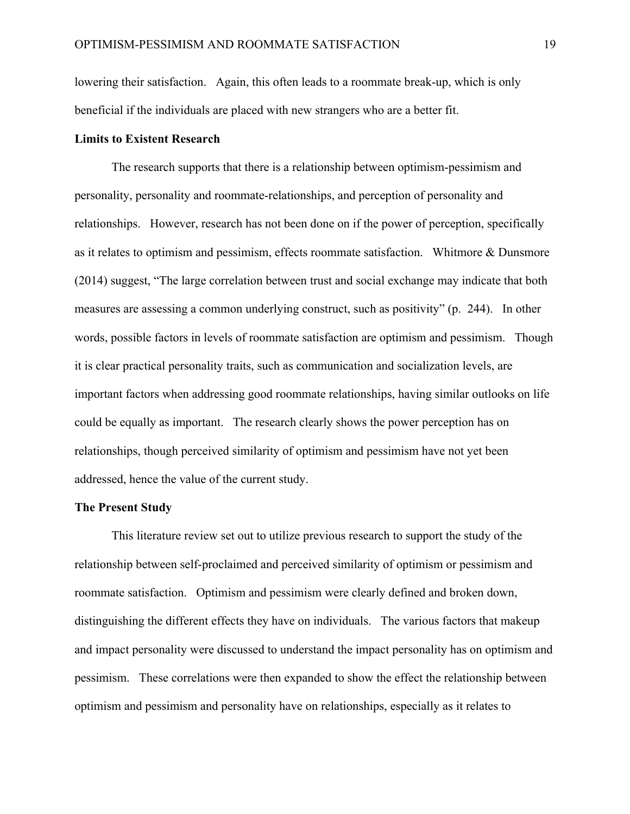lowering their satisfaction. Again, this often leads to a roommate break-up, which is only beneficial if the individuals are placed with new strangers who are a better fit.

## **Limits to Existent Research**

The research supports that there is a relationship between optimism-pessimism and personality, personality and roommate-relationships, and perception of personality and relationships. However, research has not been done on if the power of perception, specifically as it relates to optimism and pessimism, effects roommate satisfaction. Whitmore & Dunsmore (2014) suggest, "The large correlation between trust and social exchange may indicate that both measures are assessing a common underlying construct, such as positivity" (p. 244). In other words, possible factors in levels of roommate satisfaction are optimism and pessimism. Though it is clear practical personality traits, such as communication and socialization levels, are important factors when addressing good roommate relationships, having similar outlooks on life could be equally as important. The research clearly shows the power perception has on relationships, though perceived similarity of optimism and pessimism have not yet been addressed, hence the value of the current study.

# **The Present Study**

This literature review set out to utilize previous research to support the study of the relationship between self-proclaimed and perceived similarity of optimism or pessimism and roommate satisfaction. Optimism and pessimism were clearly defined and broken down, distinguishing the different effects they have on individuals. The various factors that makeup and impact personality were discussed to understand the impact personality has on optimism and pessimism. These correlations were then expanded to show the effect the relationship between optimism and pessimism and personality have on relationships, especially as it relates to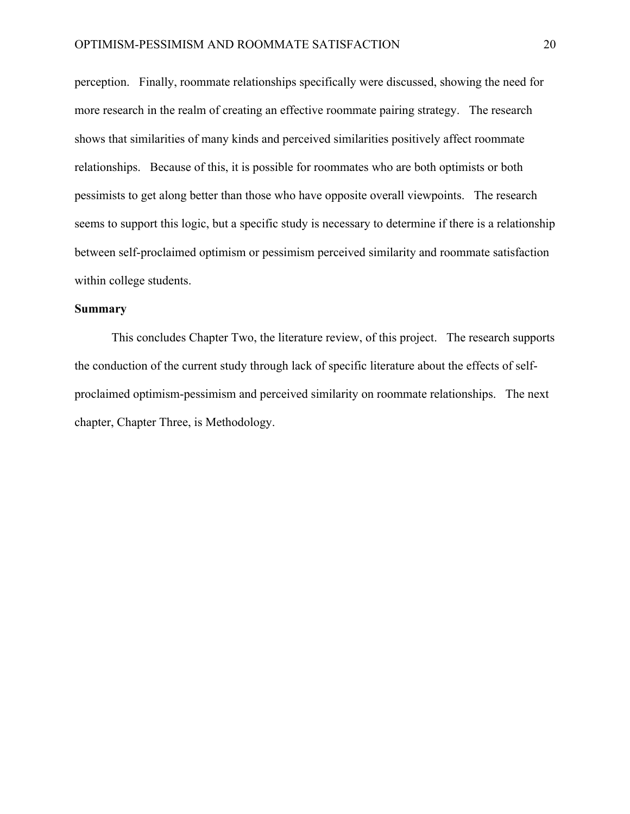perception. Finally, roommate relationships specifically were discussed, showing the need for more research in the realm of creating an effective roommate pairing strategy. The research shows that similarities of many kinds and perceived similarities positively affect roommate relationships. Because of this, it is possible for roommates who are both optimists or both pessimists to get along better than those who have opposite overall viewpoints. The research seems to support this logic, but a specific study is necessary to determine if there is a relationship between self-proclaimed optimism or pessimism perceived similarity and roommate satisfaction within college students.

# **Summary**

This concludes Chapter Two, the literature review, of this project. The research supports the conduction of the current study through lack of specific literature about the effects of selfproclaimed optimism-pessimism and perceived similarity on roommate relationships. The next chapter, Chapter Three, is Methodology.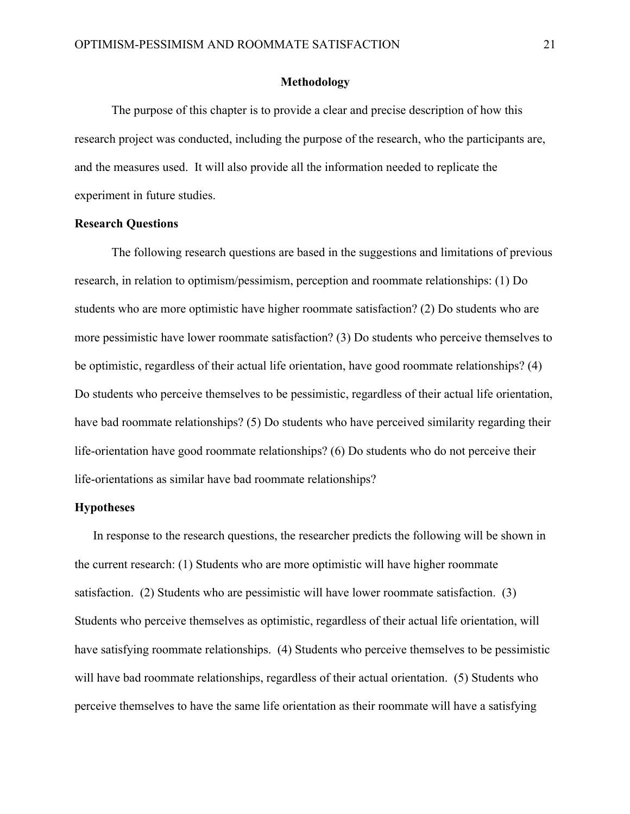# **Methodology**

The purpose of this chapter is to provide a clear and precise description of how this research project was conducted, including the purpose of the research, who the participants are, and the measures used. It will also provide all the information needed to replicate the experiment in future studies.

#### **Research Questions**

The following research questions are based in the suggestions and limitations of previous research, in relation to optimism/pessimism, perception and roommate relationships: (1) Do students who are more optimistic have higher roommate satisfaction? (2) Do students who are more pessimistic have lower roommate satisfaction? (3) Do students who perceive themselves to be optimistic, regardless of their actual life orientation, have good roommate relationships? (4) Do students who perceive themselves to be pessimistic, regardless of their actual life orientation, have bad roommate relationships? (5) Do students who have perceived similarity regarding their life-orientation have good roommate relationships? (6) Do students who do not perceive their life-orientations as similar have bad roommate relationships?

# **Hypotheses**

In response to the research questions, the researcher predicts the following will be shown in the current research: (1) Students who are more optimistic will have higher roommate satisfaction. (2) Students who are pessimistic will have lower roommate satisfaction. (3) Students who perceive themselves as optimistic, regardless of their actual life orientation, will have satisfying roommate relationships. (4) Students who perceive themselves to be pessimistic will have bad roommate relationships, regardless of their actual orientation. (5) Students who perceive themselves to have the same life orientation as their roommate will have a satisfying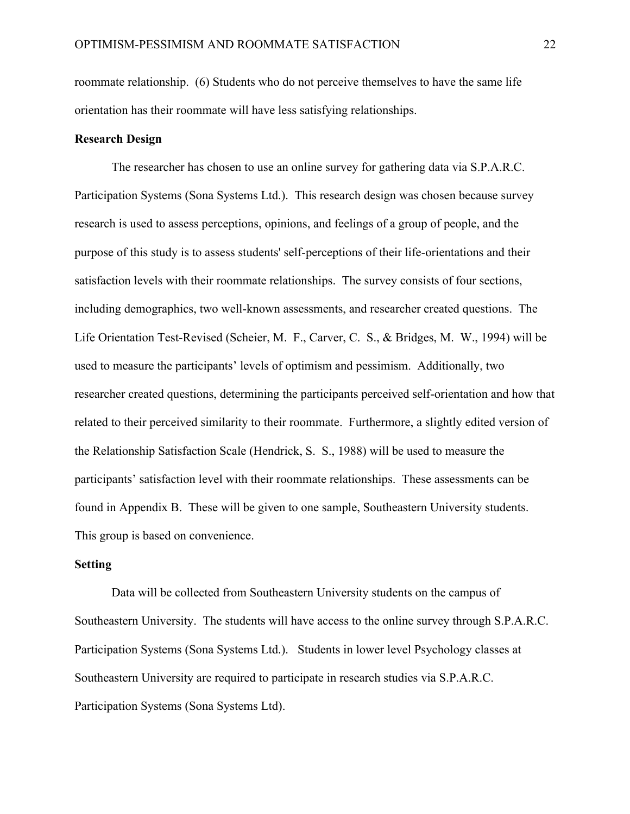roommate relationship. (6) Students who do not perceive themselves to have the same life orientation has their roommate will have less satisfying relationships.

# **Research Design**

The researcher has chosen to use an online survey for gathering data via S.P.A.R.C. Participation Systems (Sona Systems Ltd.). This research design was chosen because survey research is used to assess perceptions, opinions, and feelings of a group of people, and the purpose of this study is to assess students' self-perceptions of their life-orientations and their satisfaction levels with their roommate relationships. The survey consists of four sections, including demographics, two well-known assessments, and researcher created questions. The Life Orientation Test-Revised (Scheier, M. F., Carver, C. S., & Bridges, M. W., 1994) will be used to measure the participants' levels of optimism and pessimism. Additionally, two researcher created questions, determining the participants perceived self-orientation and how that related to their perceived similarity to their roommate. Furthermore, a slightly edited version of the Relationship Satisfaction Scale (Hendrick, S. S., 1988) will be used to measure the participants' satisfaction level with their roommate relationships. These assessments can be found in Appendix B. These will be given to one sample, Southeastern University students. This group is based on convenience.

#### **Setting**

Data will be collected from Southeastern University students on the campus of Southeastern University. The students will have access to the online survey through S.P.A.R.C. Participation Systems (Sona Systems Ltd.). Students in lower level Psychology classes at Southeastern University are required to participate in research studies via S.P.A.R.C. Participation Systems (Sona Systems Ltd).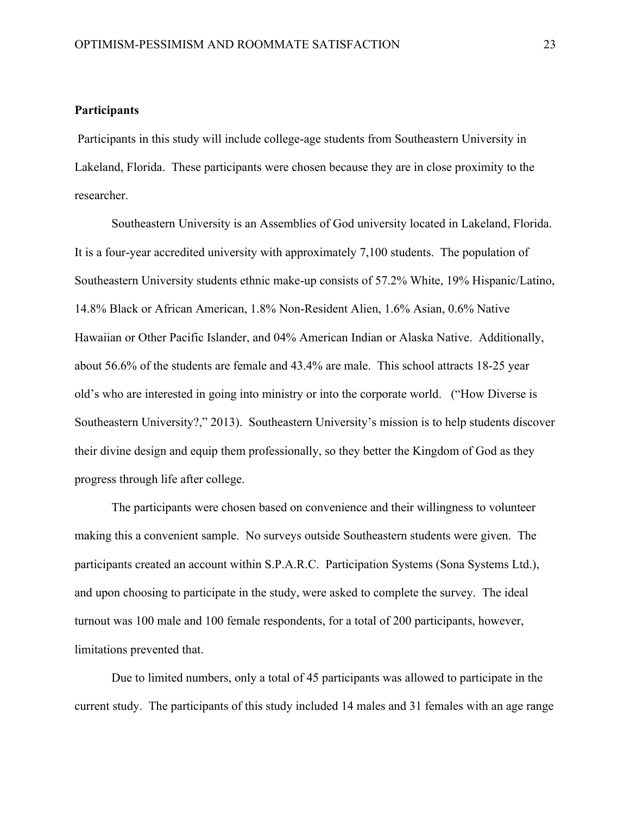# **Participants**

Participants in this study will include college-age students from Southeastern University in Lakeland, Florida. These participants were chosen because they are in close proximity to the researcher.

Southeastern University is an Assemblies of God university located in Lakeland, Florida. It is a four-year accredited university with approximately 7,100 students. The population of Southeastern University students ethnic make-up consists of 57.2% White, 19% Hispanic/Latino, 14.8% Black or African American, 1.8% Non-Resident Alien, 1.6% Asian, 0.6% Native Hawaiian or Other Pacific Islander, and 04% American Indian or Alaska Native. Additionally, about 56.6% of the students are female and 43.4% are male. This school attracts 18-25 year old's who are interested in going into ministry or into the corporate world. ("How Diverse is Southeastern University?," 2013). Southeastern University's mission is to help students discover their divine design and equip them professionally, so they better the Kingdom of God as they progress through life after college.

The participants were chosen based on convenience and their willingness to volunteer making this a convenient sample. No surveys outside Southeastern students were given. The participants created an account within S.P.A.R.C. Participation Systems (Sona Systems Ltd.), and upon choosing to participate in the study, were asked to complete the survey. The ideal turnout was 100 male and 100 female respondents, for a total of 200 participants, however, limitations prevented that.

Due to limited numbers, only a total of 45 participants was allowed to participate in the current study. The participants of this study included 14 males and 31 females with an age range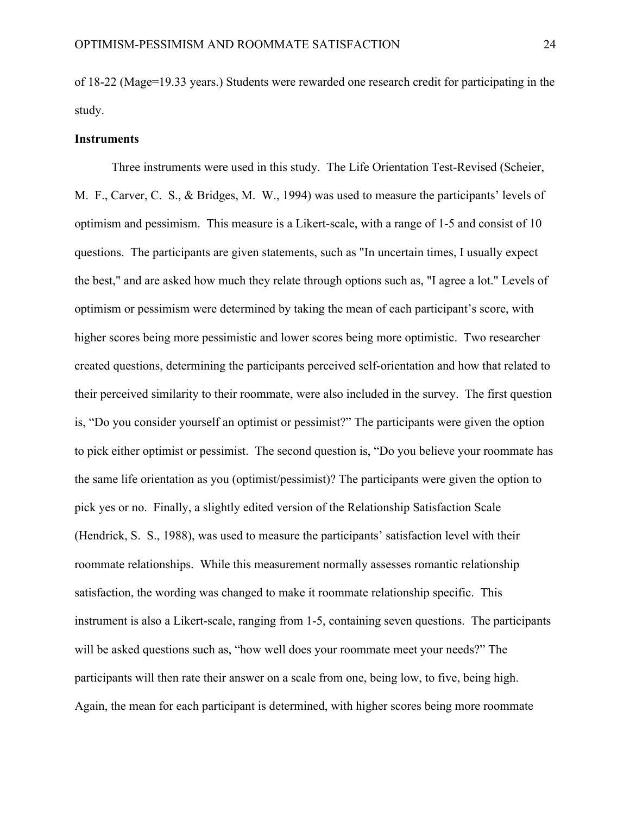of 18-22 (Mage=19.33 years.) Students were rewarded one research credit for participating in the study.

#### **Instruments**

Three instruments were used in this study. The Life Orientation Test-Revised (Scheier, M. F., Carver, C. S., & Bridges, M. W., 1994) was used to measure the participants' levels of optimism and pessimism. This measure is a Likert-scale, with a range of 1-5 and consist of 10 questions. The participants are given statements, such as "In uncertain times, I usually expect the best," and are asked how much they relate through options such as, "I agree a lot." Levels of optimism or pessimism were determined by taking the mean of each participant's score, with higher scores being more pessimistic and lower scores being more optimistic. Two researcher created questions, determining the participants perceived self-orientation and how that related to their perceived similarity to their roommate, were also included in the survey. The first question is, "Do you consider yourself an optimist or pessimist?" The participants were given the option to pick either optimist or pessimist. The second question is, "Do you believe your roommate has the same life orientation as you (optimist/pessimist)? The participants were given the option to pick yes or no. Finally, a slightly edited version of the Relationship Satisfaction Scale (Hendrick, S. S., 1988), was used to measure the participants' satisfaction level with their roommate relationships. While this measurement normally assesses romantic relationship satisfaction, the wording was changed to make it roommate relationship specific. This instrument is also a Likert-scale, ranging from 1-5, containing seven questions. The participants will be asked questions such as, "how well does your roommate meet your needs?" The participants will then rate their answer on a scale from one, being low, to five, being high. Again, the mean for each participant is determined, with higher scores being more roommate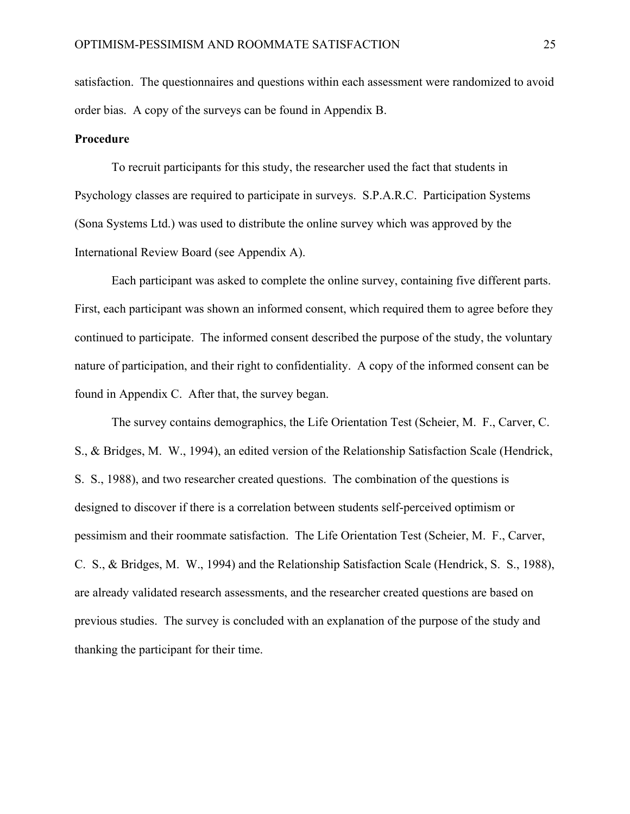satisfaction. The questionnaires and questions within each assessment were randomized to avoid order bias. A copy of the surveys can be found in Appendix B.

## **Procedure**

To recruit participants for this study, the researcher used the fact that students in Psychology classes are required to participate in surveys. S.P.A.R.C. Participation Systems (Sona Systems Ltd.) was used to distribute the online survey which was approved by the International Review Board (see Appendix A).

Each participant was asked to complete the online survey, containing five different parts. First, each participant was shown an informed consent, which required them to agree before they continued to participate. The informed consent described the purpose of the study, the voluntary nature of participation, and their right to confidentiality. A copy of the informed consent can be found in Appendix C. After that, the survey began.

The survey contains demographics, the Life Orientation Test (Scheier, M. F., Carver, C. S., & Bridges, M. W., 1994), an edited version of the Relationship Satisfaction Scale (Hendrick, S. S., 1988), and two researcher created questions. The combination of the questions is designed to discover if there is a correlation between students self-perceived optimism or pessimism and their roommate satisfaction. The Life Orientation Test (Scheier, M. F., Carver, C. S., & Bridges, M. W., 1994) and the Relationship Satisfaction Scale (Hendrick, S. S., 1988), are already validated research assessments, and the researcher created questions are based on previous studies. The survey is concluded with an explanation of the purpose of the study and thanking the participant for their time.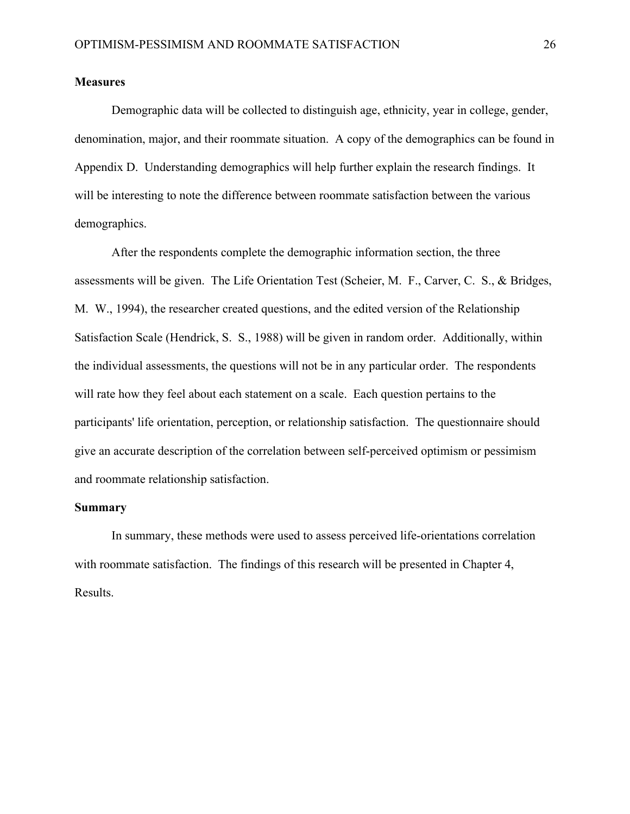# **Measures**

Demographic data will be collected to distinguish age, ethnicity, year in college, gender, denomination, major, and their roommate situation. A copy of the demographics can be found in Appendix D. Understanding demographics will help further explain the research findings. It will be interesting to note the difference between roommate satisfaction between the various demographics.

After the respondents complete the demographic information section, the three assessments will be given. The Life Orientation Test (Scheier, M. F., Carver, C. S., & Bridges, M. W., 1994), the researcher created questions, and the edited version of the Relationship Satisfaction Scale (Hendrick, S. S., 1988) will be given in random order. Additionally, within the individual assessments, the questions will not be in any particular order. The respondents will rate how they feel about each statement on a scale. Each question pertains to the participants' life orientation, perception, or relationship satisfaction. The questionnaire should give an accurate description of the correlation between self-perceived optimism or pessimism and roommate relationship satisfaction.

# **Summary**

In summary, these methods were used to assess perceived life-orientations correlation with roommate satisfaction. The findings of this research will be presented in Chapter 4, Results.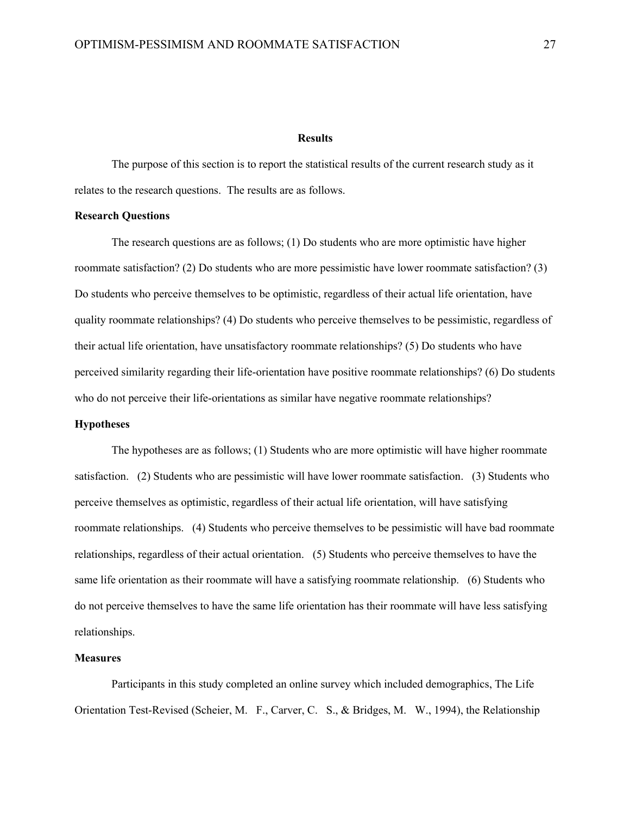#### **Results**

The purpose of this section is to report the statistical results of the current research study as it relates to the research questions. The results are as follows.

#### **Research Questions**

The research questions are as follows; (1) Do students who are more optimistic have higher roommate satisfaction? (2) Do students who are more pessimistic have lower roommate satisfaction? (3) Do students who perceive themselves to be optimistic, regardless of their actual life orientation, have quality roommate relationships? (4) Do students who perceive themselves to be pessimistic, regardless of their actual life orientation, have unsatisfactory roommate relationships? (5) Do students who have perceived similarity regarding their life-orientation have positive roommate relationships? (6) Do students who do not perceive their life-orientations as similar have negative roommate relationships?

# **Hypotheses**

The hypotheses are as follows; (1) Students who are more optimistic will have higher roommate satisfaction. (2) Students who are pessimistic will have lower roommate satisfaction. (3) Students who perceive themselves as optimistic, regardless of their actual life orientation, will have satisfying roommate relationships. (4) Students who perceive themselves to be pessimistic will have bad roommate relationships, regardless of their actual orientation. (5) Students who perceive themselves to have the same life orientation as their roommate will have a satisfying roommate relationship. (6) Students who do not perceive themselves to have the same life orientation has their roommate will have less satisfying relationships.

#### **Measures**

Participants in this study completed an online survey which included demographics, The Life Orientation Test-Revised (Scheier, M. F., Carver, C. S., & Bridges, M. W., 1994), the Relationship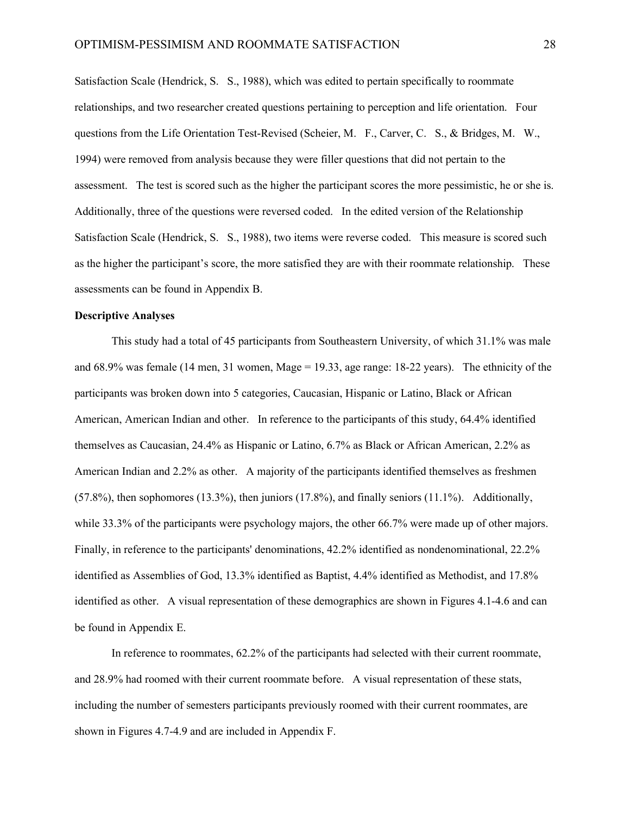Satisfaction Scale (Hendrick, S. S., 1988), which was edited to pertain specifically to roommate relationships, and two researcher created questions pertaining to perception and life orientation. Four questions from the Life Orientation Test-Revised (Scheier, M. F., Carver, C. S., & Bridges, M. W., 1994) were removed from analysis because they were filler questions that did not pertain to the assessment. The test is scored such as the higher the participant scores the more pessimistic, he or she is. Additionally, three of the questions were reversed coded. In the edited version of the Relationship Satisfaction Scale (Hendrick, S. S., 1988), two items were reverse coded. This measure is scored such as the higher the participant's score, the more satisfied they are with their roommate relationship. These assessments can be found in Appendix B.

#### **Descriptive Analyses**

This study had a total of 45 participants from Southeastern University, of which 31.1% was male and 68.9% was female (14 men, 31 women, Mage = 19.33, age range: 18-22 years). The ethnicity of the participants was broken down into 5 categories, Caucasian, Hispanic or Latino, Black or African American, American Indian and other. In reference to the participants of this study, 64.4% identified themselves as Caucasian, 24.4% as Hispanic or Latino, 6.7% as Black or African American, 2.2% as American Indian and 2.2% as other. A majority of the participants identified themselves as freshmen (57.8%), then sophomores (13.3%), then juniors (17.8%), and finally seniors (11.1%). Additionally, while 33.3% of the participants were psychology majors, the other 66.7% were made up of other majors. Finally, in reference to the participants' denominations, 42.2% identified as nondenominational, 22.2% identified as Assemblies of God, 13.3% identified as Baptist, 4.4% identified as Methodist, and 17.8% identified as other. A visual representation of these demographics are shown in Figures 4.1-4.6 and can be found in Appendix E.

In reference to roommates, 62.2% of the participants had selected with their current roommate, and 28.9% had roomed with their current roommate before. A visual representation of these stats, including the number of semesters participants previously roomed with their current roommates, are shown in Figures 4.7-4.9 and are included in Appendix F.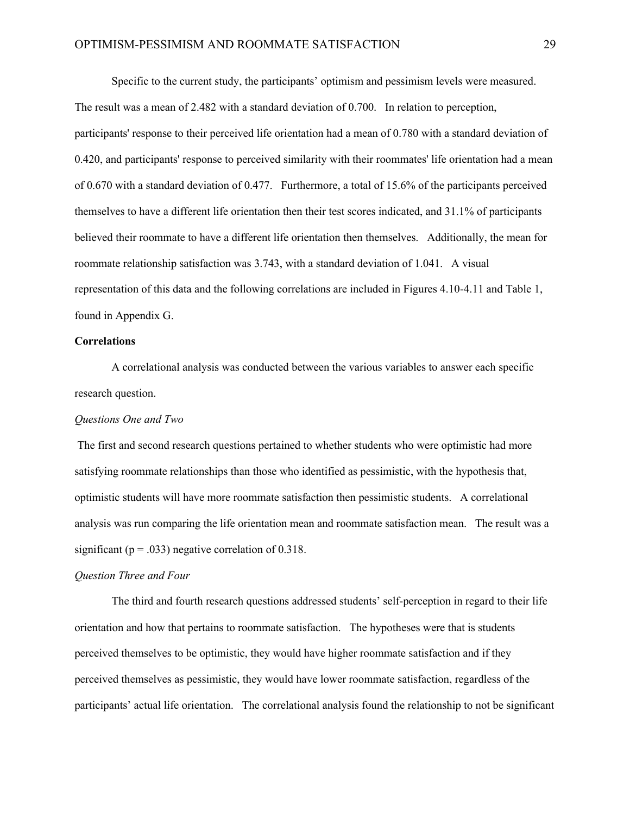Specific to the current study, the participants' optimism and pessimism levels were measured. The result was a mean of 2.482 with a standard deviation of 0.700. In relation to perception, participants' response to their perceived life orientation had a mean of 0.780 with a standard deviation of 0.420, and participants' response to perceived similarity with their roommates' life orientation had a mean of 0.670 with a standard deviation of 0.477. Furthermore, a total of 15.6% of the participants perceived themselves to have a different life orientation then their test scores indicated, and 31.1% of participants believed their roommate to have a different life orientation then themselves. Additionally, the mean for roommate relationship satisfaction was 3.743, with a standard deviation of 1.041. A visual representation of this data and the following correlations are included in Figures 4.10-4.11 and Table 1, found in Appendix G.

#### **Correlations**

A correlational analysis was conducted between the various variables to answer each specific research question.

# *Questions One and Two*

The first and second research questions pertained to whether students who were optimistic had more satisfying roommate relationships than those who identified as pessimistic, with the hypothesis that, optimistic students will have more roommate satisfaction then pessimistic students. A correlational analysis was run comparing the life orientation mean and roommate satisfaction mean. The result was a significant ( $p = .033$ ) negative correlation of 0.318.

#### *Question Three and Four*

The third and fourth research questions addressed students' self-perception in regard to their life orientation and how that pertains to roommate satisfaction. The hypotheses were that is students perceived themselves to be optimistic, they would have higher roommate satisfaction and if they perceived themselves as pessimistic, they would have lower roommate satisfaction, regardless of the participants' actual life orientation. The correlational analysis found the relationship to not be significant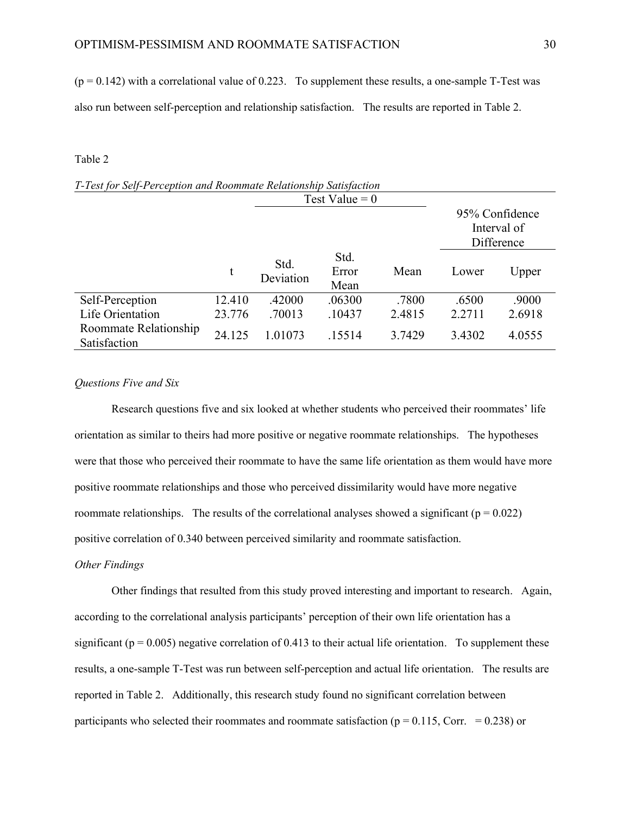$(p = 0.142)$  with a correlational value of 0.223. To supplement these results, a one-sample T-Test was also run between self-perception and relationship satisfaction. The results are reported in Table 2.

### Table 2

|                                       |        |                   | Test Value = $0$      |        |        |                                             |
|---------------------------------------|--------|-------------------|-----------------------|--------|--------|---------------------------------------------|
|                                       |        |                   |                       |        |        | 95% Confidence<br>Interval of<br>Difference |
|                                       | t      | Std.<br>Deviation | Std.<br>Error<br>Mean | Mean   | Lower  | Upper                                       |
| Self-Perception                       | 12.410 | .42000            | .06300                | .7800  | .6500  | .9000                                       |
| Life Orientation                      | 23.776 | .70013            | .10437                | 2.4815 | 2.2711 | 2.6918                                      |
| Roommate Relationship<br>Satisfaction | 24.125 | 1.01073           | .15514                | 3.7429 | 3.4302 | 4.0555                                      |

# *T-Test for Self-Perception and Roommate Relationship Satisfaction*

#### *Questions Five and Six*

Research questions five and six looked at whether students who perceived their roommates' life orientation as similar to theirs had more positive or negative roommate relationships. The hypotheses were that those who perceived their roommate to have the same life orientation as them would have more positive roommate relationships and those who perceived dissimilarity would have more negative roommate relationships. The results of the correlational analyses showed a significant ( $p = 0.022$ ) positive correlation of 0.340 between perceived similarity and roommate satisfaction.

### *Other Findings*

Other findings that resulted from this study proved interesting and important to research. Again, according to the correlational analysis participants' perception of their own life orientation has a significant ( $p = 0.005$ ) negative correlation of 0.413 to their actual life orientation. To supplement these results, a one-sample T-Test was run between self-perception and actual life orientation. The results are reported in Table 2. Additionally, this research study found no significant correlation between participants who selected their roommates and roommate satisfaction ( $p = 0.115$ , Corr. = 0.238) or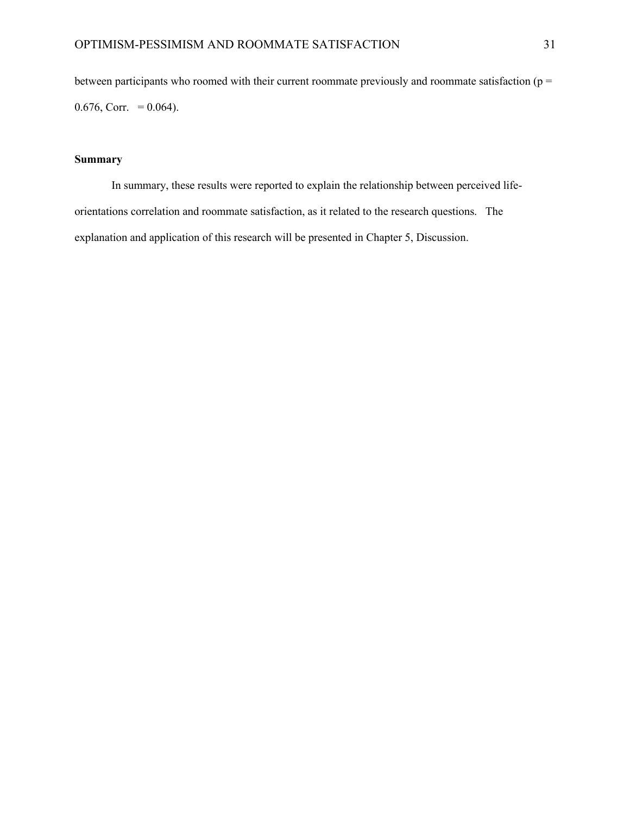between participants who roomed with their current roommate previously and roommate satisfaction ( $p =$ 0.676, Corr. =  $0.064$ ).

# **Summary**

In summary, these results were reported to explain the relationship between perceived lifeorientations correlation and roommate satisfaction, as it related to the research questions. The explanation and application of this research will be presented in Chapter 5, Discussion.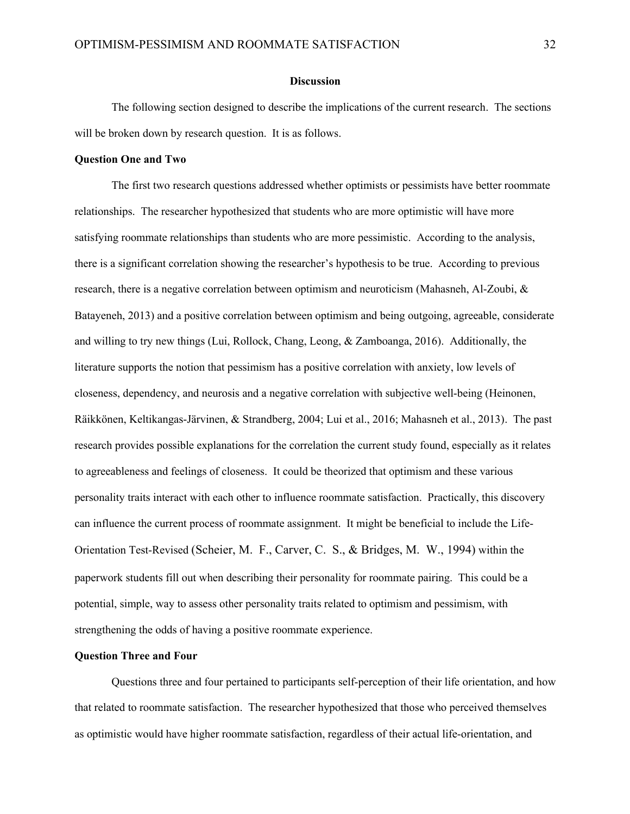#### **Discussion**

The following section designed to describe the implications of the current research. The sections will be broken down by research question. It is as follows.

#### **Question One and Two**

The first two research questions addressed whether optimists or pessimists have better roommate relationships. The researcher hypothesized that students who are more optimistic will have more satisfying roommate relationships than students who are more pessimistic. According to the analysis, there is a significant correlation showing the researcher's hypothesis to be true. According to previous research, there is a negative correlation between optimism and neuroticism (Mahasneh, Al-Zoubi, & Batayeneh, 2013) and a positive correlation between optimism and being outgoing, agreeable, considerate and willing to try new things (Lui, Rollock, Chang, Leong, & Zamboanga, 2016). Additionally, the literature supports the notion that pessimism has a positive correlation with anxiety, low levels of closeness, dependency, and neurosis and a negative correlation with subjective well-being (Heinonen, Räikkönen, Keltikangas-Järvinen, & Strandberg, 2004; Lui et al., 2016; Mahasneh et al., 2013). The past research provides possible explanations for the correlation the current study found, especially as it relates to agreeableness and feelings of closeness. It could be theorized that optimism and these various personality traits interact with each other to influence roommate satisfaction. Practically, this discovery can influence the current process of roommate assignment. It might be beneficial to include the Life-Orientation Test-Revised (Scheier, M. F., Carver, C. S., & Bridges, M. W., 1994) within the paperwork students fill out when describing their personality for roommate pairing. This could be a potential, simple, way to assess other personality traits related to optimism and pessimism, with strengthening the odds of having a positive roommate experience.

### **Question Three and Four**

Questions three and four pertained to participants self-perception of their life orientation, and how that related to roommate satisfaction. The researcher hypothesized that those who perceived themselves as optimistic would have higher roommate satisfaction, regardless of their actual life-orientation, and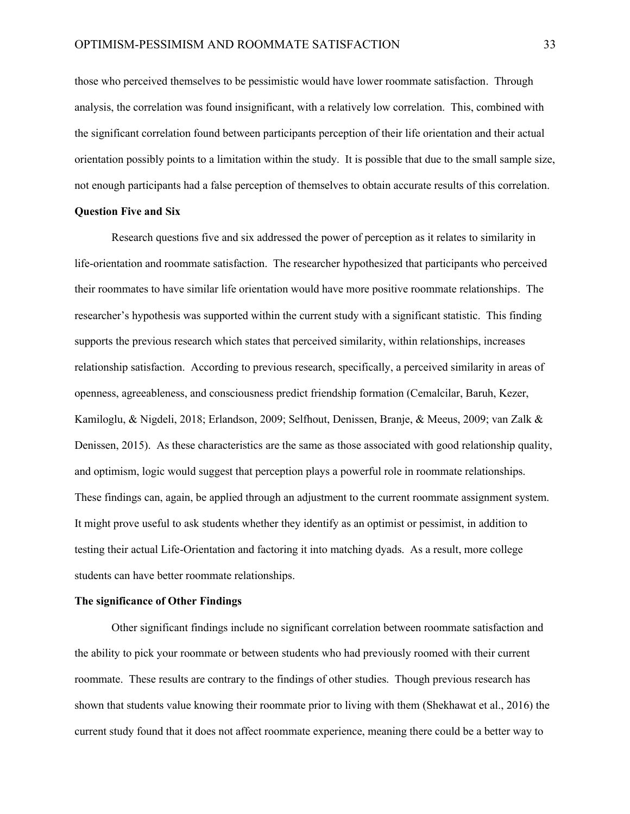those who perceived themselves to be pessimistic would have lower roommate satisfaction. Through analysis, the correlation was found insignificant, with a relatively low correlation. This, combined with the significant correlation found between participants perception of their life orientation and their actual orientation possibly points to a limitation within the study. It is possible that due to the small sample size, not enough participants had a false perception of themselves to obtain accurate results of this correlation.

#### **Question Five and Six**

Research questions five and six addressed the power of perception as it relates to similarity in life-orientation and roommate satisfaction. The researcher hypothesized that participants who perceived their roommates to have similar life orientation would have more positive roommate relationships. The researcher's hypothesis was supported within the current study with a significant statistic. This finding supports the previous research which states that perceived similarity, within relationships, increases relationship satisfaction. According to previous research, specifically, a perceived similarity in areas of openness, agreeableness, and consciousness predict friendship formation (Cemalcilar, Baruh, Kezer, Kamiloglu, & Nigdeli, 2018; Erlandson, 2009; Selfhout, Denissen, Branje, & Meeus, 2009; van Zalk & Denissen, 2015). As these characteristics are the same as those associated with good relationship quality, and optimism, logic would suggest that perception plays a powerful role in roommate relationships. These findings can, again, be applied through an adjustment to the current roommate assignment system. It might prove useful to ask students whether they identify as an optimist or pessimist, in addition to testing their actual Life-Orientation and factoring it into matching dyads. As a result, more college students can have better roommate relationships.

#### **The significance of Other Findings**

Other significant findings include no significant correlation between roommate satisfaction and the ability to pick your roommate or between students who had previously roomed with their current roommate. These results are contrary to the findings of other studies. Though previous research has shown that students value knowing their roommate prior to living with them (Shekhawat et al., 2016) the current study found that it does not affect roommate experience, meaning there could be a better way to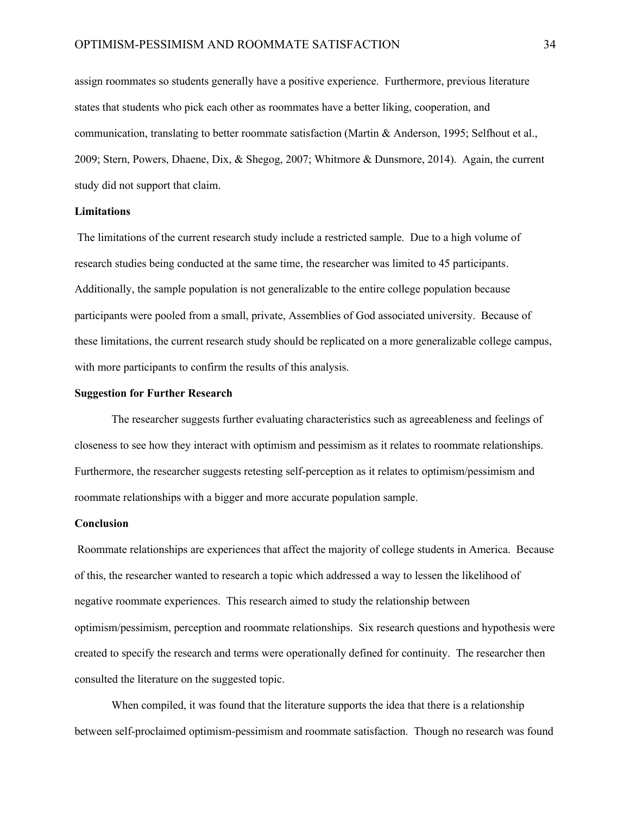assign roommates so students generally have a positive experience. Furthermore, previous literature states that students who pick each other as roommates have a better liking, cooperation, and communication, translating to better roommate satisfaction (Martin & Anderson, 1995; Selfhout et al., 2009; Stern, Powers, Dhaene, Dix, & Shegog, 2007; Whitmore & Dunsmore, 2014). Again, the current study did not support that claim.

#### **Limitations**

The limitations of the current research study include a restricted sample. Due to a high volume of research studies being conducted at the same time, the researcher was limited to 45 participants. Additionally, the sample population is not generalizable to the entire college population because participants were pooled from a small, private, Assemblies of God associated university. Because of these limitations, the current research study should be replicated on a more generalizable college campus, with more participants to confirm the results of this analysis.

#### **Suggestion for Further Research**

The researcher suggests further evaluating characteristics such as agreeableness and feelings of closeness to see how they interact with optimism and pessimism as it relates to roommate relationships. Furthermore, the researcher suggests retesting self-perception as it relates to optimism/pessimism and roommate relationships with a bigger and more accurate population sample.

#### **Conclusion**

Roommate relationships are experiences that affect the majority of college students in America. Because of this, the researcher wanted to research a topic which addressed a way to lessen the likelihood of negative roommate experiences. This research aimed to study the relationship between optimism/pessimism, perception and roommate relationships. Six research questions and hypothesis were created to specify the research and terms were operationally defined for continuity. The researcher then consulted the literature on the suggested topic.

When compiled, it was found that the literature supports the idea that there is a relationship between self-proclaimed optimism-pessimism and roommate satisfaction. Though no research was found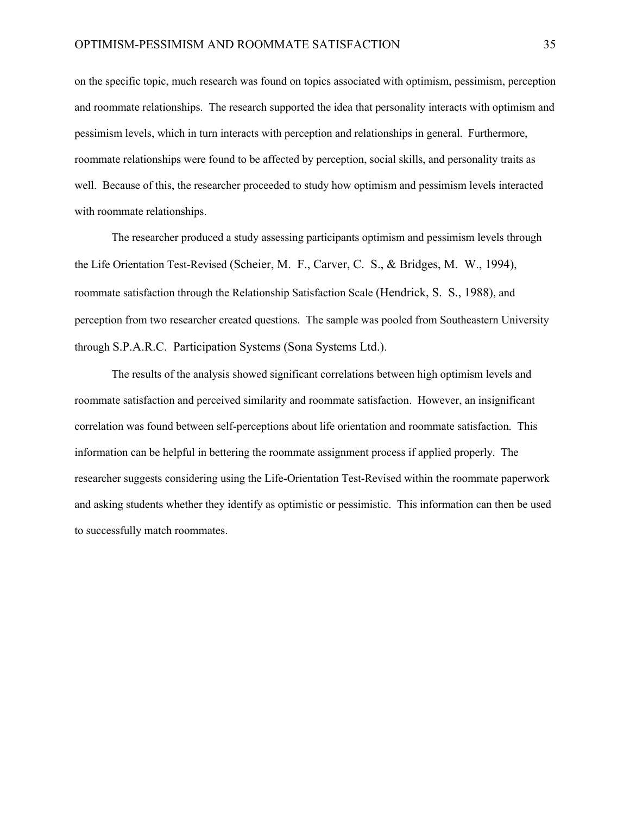on the specific topic, much research was found on topics associated with optimism, pessimism, perception and roommate relationships. The research supported the idea that personality interacts with optimism and pessimism levels, which in turn interacts with perception and relationships in general. Furthermore, roommate relationships were found to be affected by perception, social skills, and personality traits as well. Because of this, the researcher proceeded to study how optimism and pessimism levels interacted with roommate relationships.

The researcher produced a study assessing participants optimism and pessimism levels through the Life Orientation Test-Revised (Scheier, M. F., Carver, C. S., & Bridges, M. W., 1994), roommate satisfaction through the Relationship Satisfaction Scale (Hendrick, S. S., 1988), and perception from two researcher created questions. The sample was pooled from Southeastern University through S.P.A.R.C. Participation Systems (Sona Systems Ltd.).

The results of the analysis showed significant correlations between high optimism levels and roommate satisfaction and perceived similarity and roommate satisfaction. However, an insignificant correlation was found between self-perceptions about life orientation and roommate satisfaction. This information can be helpful in bettering the roommate assignment process if applied properly. The researcher suggests considering using the Life-Orientation Test-Revised within the roommate paperwork and asking students whether they identify as optimistic or pessimistic. This information can then be used to successfully match roommates.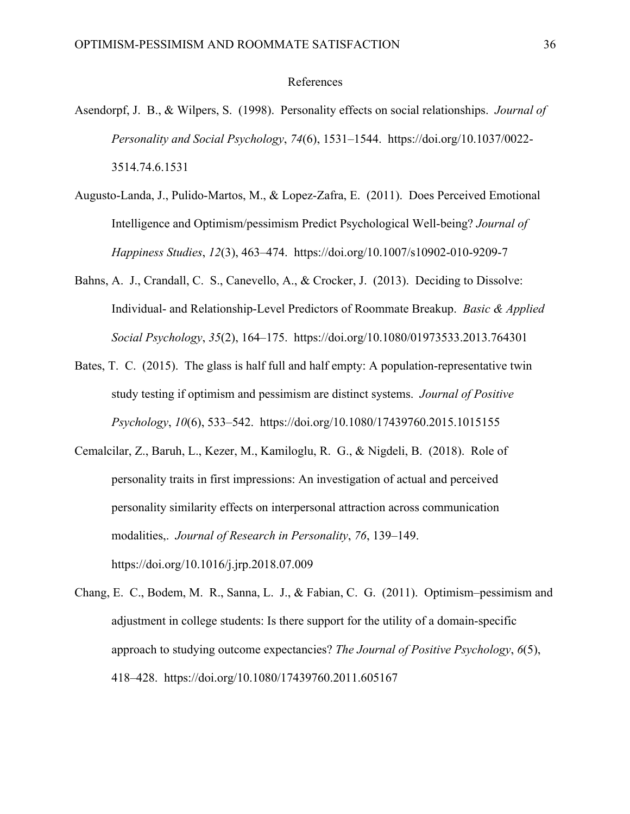#### References

- Asendorpf, J. B., & Wilpers, S. (1998). Personality effects on social relationships. *Journal of Personality and Social Psychology*, *74*(6), 1531–1544. https://doi.org/10.1037/0022- 3514.74.6.1531
- Augusto-Landa, J., Pulido-Martos, M., & Lopez-Zafra, E. (2011). Does Perceived Emotional Intelligence and Optimism/pessimism Predict Psychological Well-being? *Journal of Happiness Studies*, *12*(3), 463–474. https://doi.org/10.1007/s10902-010-9209-7
- Bahns, A. J., Crandall, C. S., Canevello, A., & Crocker, J. (2013). Deciding to Dissolve: Individual- and Relationship-Level Predictors of Roommate Breakup. *Basic & Applied Social Psychology*, *35*(2), 164–175. https://doi.org/10.1080/01973533.2013.764301
- Bates, T. C. (2015). The glass is half full and half empty: A population-representative twin study testing if optimism and pessimism are distinct systems. *Journal of Positive Psychology*, *10*(6), 533–542. https://doi.org/10.1080/17439760.2015.1015155
- Cemalcilar, Z., Baruh, L., Kezer, M., Kamiloglu, R. G., & Nigdeli, B. (2018). Role of personality traits in first impressions: An investigation of actual and perceived personality similarity effects on interpersonal attraction across communication modalities,. *Journal of Research in Personality*, *76*, 139–149. https://doi.org/10.1016/j.jrp.2018.07.009
- Chang, E. C., Bodem, M. R., Sanna, L. J., & Fabian, C. G. (2011). Optimism–pessimism and adjustment in college students: Is there support for the utility of a domain-specific approach to studying outcome expectancies? *The Journal of Positive Psychology*, *6*(5), 418–428. https://doi.org/10.1080/17439760.2011.605167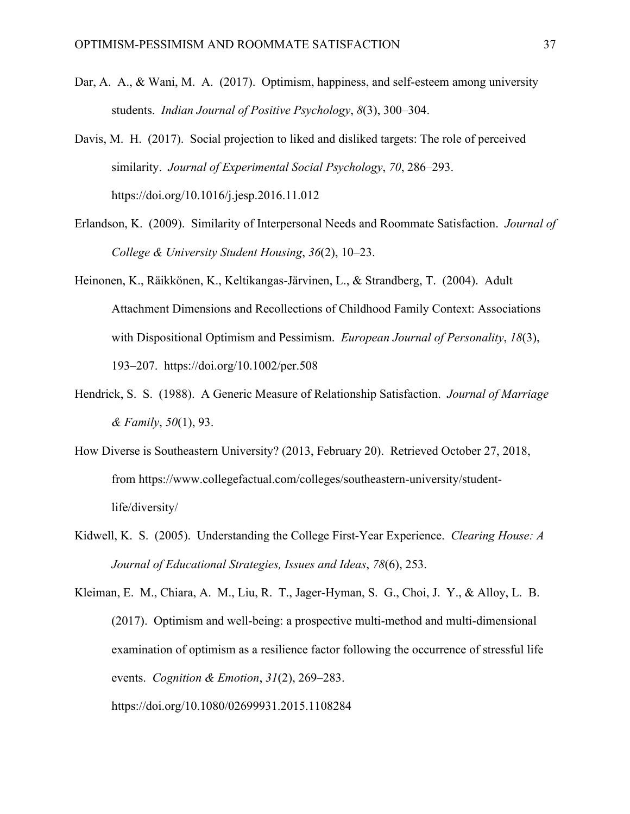- Dar, A. A., & Wani, M. A. (2017). Optimism, happiness, and self-esteem among university students. *Indian Journal of Positive Psychology*, *8*(3), 300–304.
- Davis, M. H. (2017). Social projection to liked and disliked targets: The role of perceived similarity. *Journal of Experimental Social Psychology*, *70*, 286–293. https://doi.org/10.1016/j.jesp.2016.11.012
- Erlandson, K. (2009). Similarity of Interpersonal Needs and Roommate Satisfaction. *Journal of College & University Student Housing*, *36*(2), 10–23.
- Heinonen, K., Räikkönen, K., Keltikangas-Järvinen, L., & Strandberg, T. (2004). Adult Attachment Dimensions and Recollections of Childhood Family Context: Associations with Dispositional Optimism and Pessimism. *European Journal of Personality*, *18*(3), 193–207. https://doi.org/10.1002/per.508
- Hendrick, S. S. (1988). A Generic Measure of Relationship Satisfaction. *Journal of Marriage & Family*, *50*(1), 93.
- How Diverse is Southeastern University? (2013, February 20). Retrieved October 27, 2018, from https://www.collegefactual.com/colleges/southeastern-university/studentlife/diversity/
- Kidwell, K. S. (2005). Understanding the College First-Year Experience. *Clearing House: A Journal of Educational Strategies, Issues and Ideas*, *78*(6), 253.

Kleiman, E. M., Chiara, A. M., Liu, R. T., Jager-Hyman, S. G., Choi, J. Y., & Alloy, L. B. (2017). Optimism and well-being: a prospective multi-method and multi-dimensional examination of optimism as a resilience factor following the occurrence of stressful life events. *Cognition & Emotion*, *31*(2), 269–283.

https://doi.org/10.1080/02699931.2015.1108284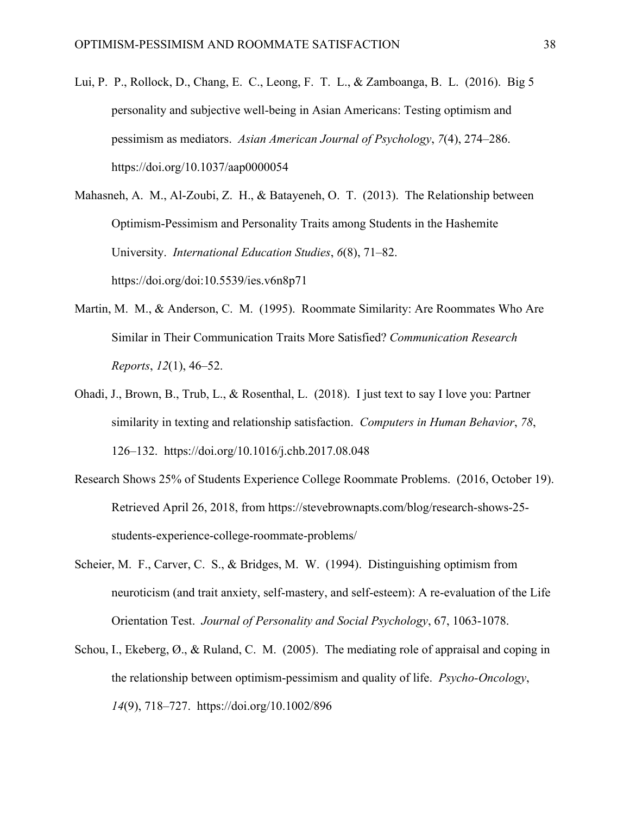Lui, P. P., Rollock, D., Chang, E. C., Leong, F. T. L., & Zamboanga, B. L. (2016). Big 5 personality and subjective well-being in Asian Americans: Testing optimism and pessimism as mediators. *Asian American Journal of Psychology*, *7*(4), 274–286. https://doi.org/10.1037/aap0000054

Mahasneh, A. M., Al-Zoubi, Z. H., & Batayeneh, O. T. (2013). The Relationship between Optimism-Pessimism and Personality Traits among Students in the Hashemite University. *International Education Studies*, *6*(8), 71–82. https://doi.org/doi:10.5539/ies.v6n8p71

- Martin, M. M., & Anderson, C. M. (1995). Roommate Similarity: Are Roommates Who Are Similar in Their Communication Traits More Satisfied? *Communication Research Reports*, *12*(1), 46–52.
- Ohadi, J., Brown, B., Trub, L., & Rosenthal, L. (2018). I just text to say I love you: Partner similarity in texting and relationship satisfaction. *Computers in Human Behavior*, *78*, 126–132. https://doi.org/10.1016/j.chb.2017.08.048
- Research Shows 25% of Students Experience College Roommate Problems. (2016, October 19). Retrieved April 26, 2018, from https://stevebrownapts.com/blog/research-shows-25 students-experience-college-roommate-problems/
- Scheier, M. F., Carver, C. S., & Bridges, M. W. (1994). Distinguishing optimism from neuroticism (and trait anxiety, self-mastery, and self-esteem): A re-evaluation of the Life Orientation Test. *Journal of Personality and Social Psychology*, 67, 1063-1078.
- Schou, I., Ekeberg, Ø., & Ruland, C. M. (2005). The mediating role of appraisal and coping in the relationship between optimism-pessimism and quality of life. *Psycho-Oncology*, *14*(9), 718–727. https://doi.org/10.1002/896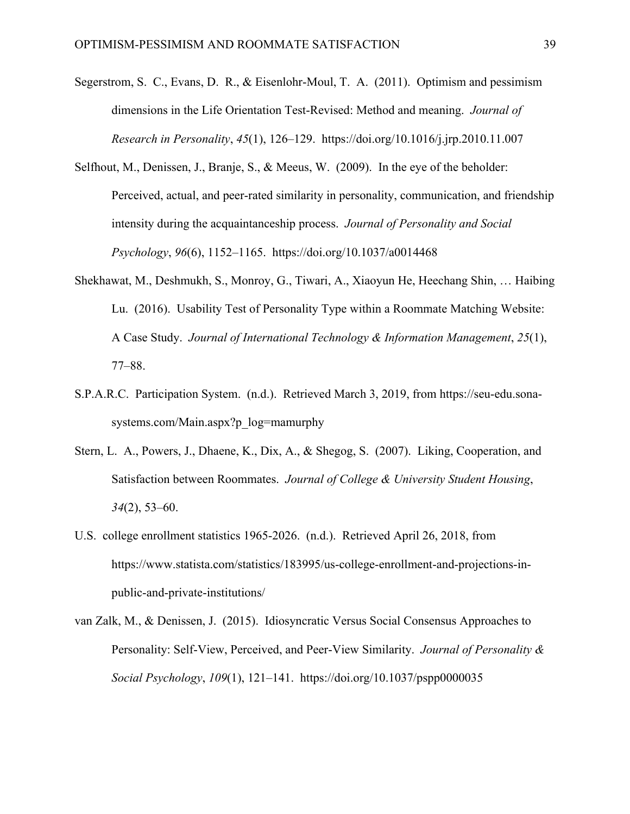- Segerstrom, S. C., Evans, D. R., & Eisenlohr-Moul, T. A. (2011). Optimism and pessimism dimensions in the Life Orientation Test-Revised: Method and meaning. *Journal of Research in Personality*, *45*(1), 126–129. https://doi.org/10.1016/j.jrp.2010.11.007
- Selfhout, M., Denissen, J., Branje, S., & Meeus, W. (2009). In the eye of the beholder: Perceived, actual, and peer-rated similarity in personality, communication, and friendship intensity during the acquaintanceship process. *Journal of Personality and Social Psychology*, *96*(6), 1152–1165. https://doi.org/10.1037/a0014468
- Shekhawat, M., Deshmukh, S., Monroy, G., Tiwari, A., Xiaoyun He, Heechang Shin, … Haibing Lu. (2016). Usability Test of Personality Type within a Roommate Matching Website: A Case Study. *Journal of International Technology & Information Management*, *25*(1), 77–88.
- S.P.A.R.C. Participation System. (n.d.). Retrieved March 3, 2019, from https://seu-edu.sonasystems.com/Main.aspx?p\_log=mamurphy
- Stern, L. A., Powers, J., Dhaene, K., Dix, A., & Shegog, S. (2007). Liking, Cooperation, and Satisfaction between Roommates. *Journal of College & University Student Housing*, *34*(2), 53–60.
- U.S. college enrollment statistics 1965-2026. (n.d.). Retrieved April 26, 2018, from https://www.statista.com/statistics/183995/us-college-enrollment-and-projections-inpublic-and-private-institutions/
- van Zalk, M., & Denissen, J. (2015). Idiosyncratic Versus Social Consensus Approaches to Personality: Self-View, Perceived, and Peer-View Similarity. *Journal of Personality & Social Psychology*, *109*(1), 121–141. https://doi.org/10.1037/pspp0000035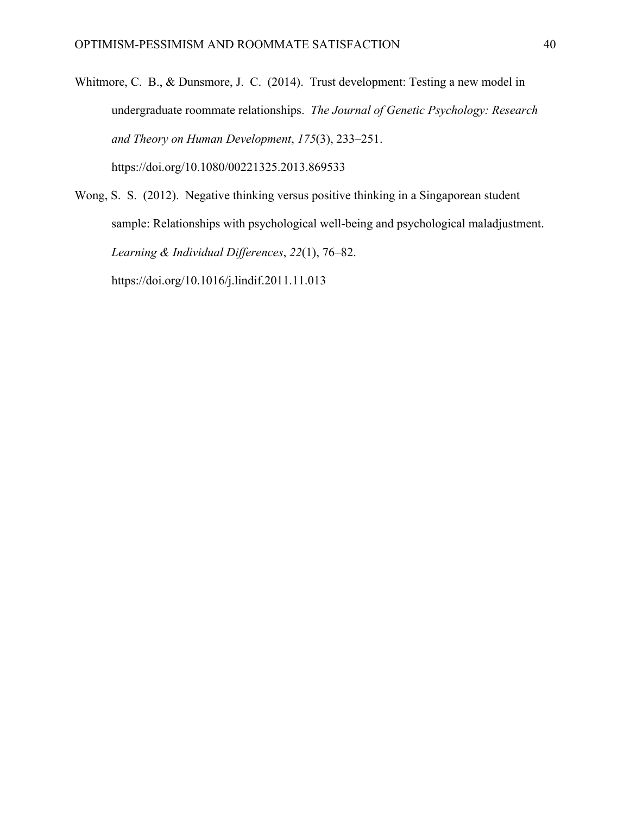Whitmore, C. B., & Dunsmore, J. C. (2014). Trust development: Testing a new model in undergraduate roommate relationships. *The Journal of Genetic Psychology: Research and Theory on Human Development*, *175*(3), 233–251. https://doi.org/10.1080/00221325.2013.869533

Wong, S. S. (2012). Negative thinking versus positive thinking in a Singaporean student sample: Relationships with psychological well-being and psychological maladjustment. *Learning & Individual Differences*, *22*(1), 76–82. https://doi.org/10.1016/j.lindif.2011.11.013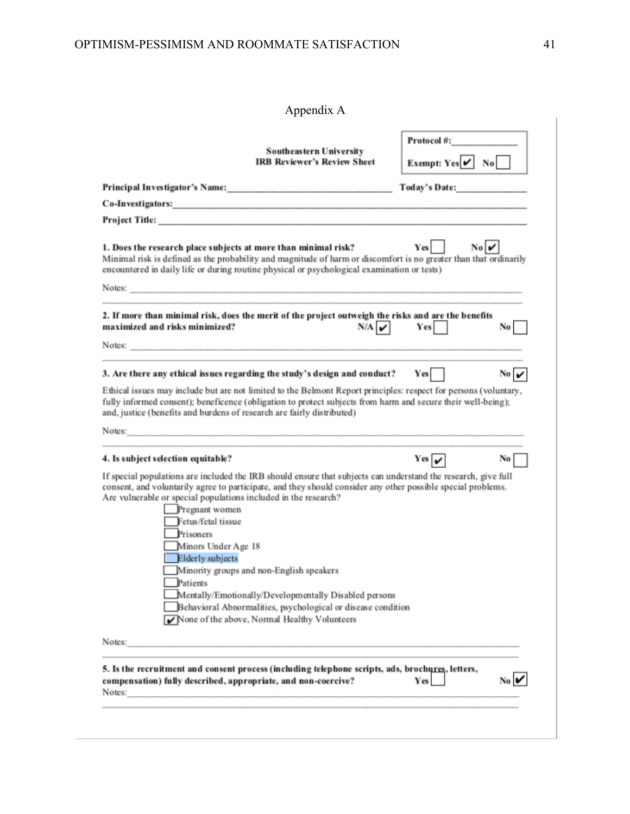| Appendix A |
|------------|
|------------|

|                                                                                                                 | <b>Southeastern University</b><br><b>IRB Reviewer's Review Sheet</b>                                                                                                                                                                                                                                                                         | Protocol #:<br>Exempt: $Yes \nightharpoonup No$                |
|-----------------------------------------------------------------------------------------------------------------|----------------------------------------------------------------------------------------------------------------------------------------------------------------------------------------------------------------------------------------------------------------------------------------------------------------------------------------------|----------------------------------------------------------------|
|                                                                                                                 |                                                                                                                                                                                                                                                                                                                                              | Today's Date:                                                  |
|                                                                                                                 | Co-Investigators: Note and the contract of the contract of the contract of the contract of the contract of the                                                                                                                                                                                                                               |                                                                |
|                                                                                                                 |                                                                                                                                                                                                                                                                                                                                              |                                                                |
| 1. Does the research place subjects at more than minimal risk?                                                  | Minimal risk is defined as the probability and magnitude of harm or discomfort is no greater than that ordinarily<br>encountered in daily life or during routine physical or psychological examination or tests)                                                                                                                             | $Yes$    <br>$\mathbf{N}\mathbf{o}$ $\boldsymbol{\mathcal{V}}$ |
| maximized and risks minimized?                                                                                  | 2. If more than minimal risk, does the merit of the project outweigh the risks and are the benefits<br>N/A<br>Notes: Notes: 2008. The contract of the contract of the contract of the contract of the contract of the contract of the contract of the contract of the contract of the contract of the contract of the contract of the contra | Yes  <br>No                                                    |
|                                                                                                                 | 3. Are there any ethical issues regarding the study's design and conduct?                                                                                                                                                                                                                                                                    | No $\boldsymbol{\nu}$<br>Yes                                   |
| and, justice (benefits and burdens of research are fairly distributed)                                          | Ethical issues may include but are not limited to the Belmont Report principles: respect for persons (voluntary,<br>fully informed consent); beneficence (obligation to protect subjects from harm and secure their well-being);                                                                                                             |                                                                |
|                                                                                                                 | Notes:                                                                                                                                                                                                                                                                                                                                       |                                                                |
| 4. Is subject selection equitable?                                                                              |                                                                                                                                                                                                                                                                                                                                              | $Yes \sim$<br>No                                               |
|                                                                                                                 | If special populations are included the IRB should ensure that subjects can understand the research, give full<br>consent, and voluntarily agree to participate, and they should consider any other possible special problems.<br>Are vulnerable or special populations included in the research?                                            |                                                                |
| Pregnant women<br>Fetus/fetal tissue<br>Prisoners<br>Minors Under Age 18<br><b>Elderly</b> subjects<br>Patients | Minority groups and non-English speakers<br>Mentally/Emotionally/Developmentally Disabled persons<br>Behavioral Abnormalities, psychological or disease condition<br>None of the above, Normal Healthy Volunteers                                                                                                                            |                                                                |
| Notes:                                                                                                          |                                                                                                                                                                                                                                                                                                                                              |                                                                |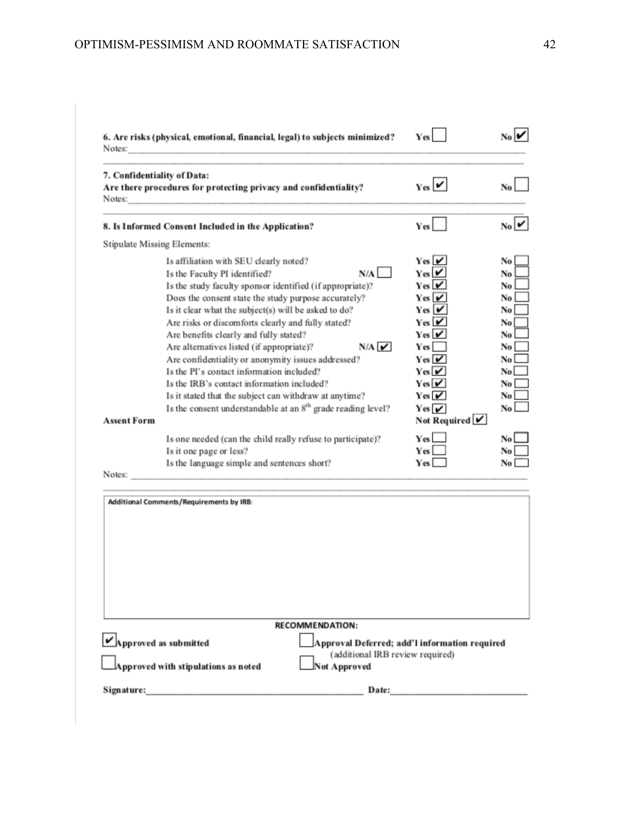| Notes:                      | 6. Are risks (physical, emotional, financial, legal) to subjects minimized?                                                                                                                                                                                                                                                                                                                                                                                                                                                                                                                                  |                                                                                                   | Yes                                                                                                                                                                                                                                                                  |                                                                             |
|-----------------------------|--------------------------------------------------------------------------------------------------------------------------------------------------------------------------------------------------------------------------------------------------------------------------------------------------------------------------------------------------------------------------------------------------------------------------------------------------------------------------------------------------------------------------------------------------------------------------------------------------------------|---------------------------------------------------------------------------------------------------|----------------------------------------------------------------------------------------------------------------------------------------------------------------------------------------------------------------------------------------------------------------------|-----------------------------------------------------------------------------|
| Notes:                      | 7. Confidentiality of Data:<br>Are there procedures for protecting privacy and confidentiality?                                                                                                                                                                                                                                                                                                                                                                                                                                                                                                              |                                                                                                   | $_{\mathrm{Yes}}$ $\boldsymbol{\mathsf{v}}$                                                                                                                                                                                                                          |                                                                             |
|                             | 8. Is Informed Consent Included in the Application?                                                                                                                                                                                                                                                                                                                                                                                                                                                                                                                                                          |                                                                                                   | <b>Yes</b>                                                                                                                                                                                                                                                           | $N_0$                                                                       |
|                             | <b>Stipulate Missing Elements:</b>                                                                                                                                                                                                                                                                                                                                                                                                                                                                                                                                                                           |                                                                                                   |                                                                                                                                                                                                                                                                      |                                                                             |
| <b>Assent Form</b>          | Is affiliation with SEU clearly noted?<br>Is the Faculty PI identified?<br>Is the study faculty sponsor identified (if appropriate)?<br>Does the consent state the study purpose accurately?<br>Is it clear what the subject(s) will be asked to do?<br>Are risks or discomforts clearly and fully stated?<br>Are benefits clearly and fully stated?<br>Are alternatives listed (if appropriate)?<br>Are confidentiality or anonymity issues addressed?<br>Is the PI's contact information included?<br>Is the IRB's contact information included?<br>Is it stated that the subject can withdraw at anytime? | N/A<br>N/A<br>Is the consent understandable at an 8 <sup>th</sup> grade reading level?            | Yes $\boldsymbol{\mathsf{v}}$<br>$Y$ es<br>YesV<br>Yes   ✔<br>Yes ∣ <i>V</i><br>Yes   V<br>Yes∣✔<br>Yes  <br>$Yes \nabla$<br>Yes $\boldsymbol{\nu}$<br>Yes $\boldsymbol{\mathsf{v}}$<br>Yes $\boldsymbol{\nu}$<br>Yes $\overline{\mathbf{v}}$<br>Not Required $\vee$ | No<br>No<br>No<br>No<br>No<br>No<br>No<br>No<br>No.<br>No<br>No<br>No<br>No |
|                             | Is one needed (can the child really refuse to participate)?<br>Is it one page or less?<br>Is the language simple and sentences short?                                                                                                                                                                                                                                                                                                                                                                                                                                                                        |                                                                                                   | Yes L<br><b>Yes</b><br>Yes                                                                                                                                                                                                                                           | No<br>No<br>No                                                              |
| Notes:                      | the control of the control of the control of the control of the control of                                                                                                                                                                                                                                                                                                                                                                                                                                                                                                                                   |                                                                                                   |                                                                                                                                                                                                                                                                      |                                                                             |
|                             | Additional Comments/Requirements by IRB:                                                                                                                                                                                                                                                                                                                                                                                                                                                                                                                                                                     |                                                                                                   |                                                                                                                                                                                                                                                                      |                                                                             |
|                             |                                                                                                                                                                                                                                                                                                                                                                                                                                                                                                                                                                                                              | <b>RECOMMENDATION:</b>                                                                            |                                                                                                                                                                                                                                                                      |                                                                             |
|                             |                                                                                                                                                                                                                                                                                                                                                                                                                                                                                                                                                                                                              |                                                                                                   |                                                                                                                                                                                                                                                                      |                                                                             |
| $\nu$ Approved as submitted | Approved with stipulations as noted                                                                                                                                                                                                                                                                                                                                                                                                                                                                                                                                                                          | Approval Deferred; add'l information required<br>(additional IRB review required)<br>Not Approved |                                                                                                                                                                                                                                                                      |                                                                             |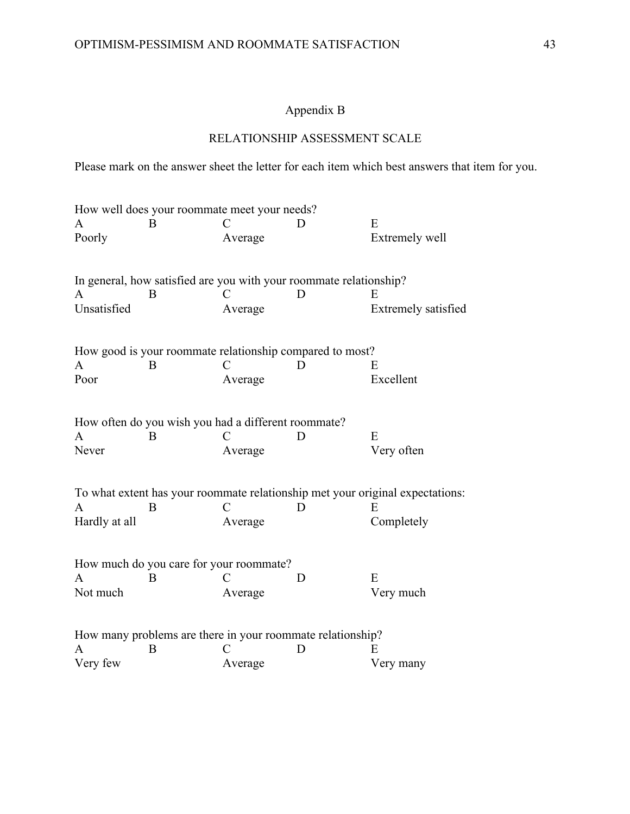# Appendix B

# RELATIONSHIP ASSESSMENT SCALE

Please mark on the answer sheet the letter for each item which best answers that item for you.

|               | How well does your roommate meet your needs?                       |               |   |                                                                               |
|---------------|--------------------------------------------------------------------|---------------|---|-------------------------------------------------------------------------------|
| A             | B                                                                  |               |   | E                                                                             |
| Poorly        |                                                                    | Average       |   | Extremely well                                                                |
|               | In general, how satisfied are you with your roommate relationship? |               |   |                                                                               |
| A             | B                                                                  | €             | D | E                                                                             |
| Unsatisfied   |                                                                    | Average       |   | Extremely satisfied                                                           |
|               | How good is your roommate relationship compared to most?           |               |   |                                                                               |
| A             | B                                                                  | $\mathcal{C}$ | D | E                                                                             |
| Poor          |                                                                    | Average       |   | Excellent                                                                     |
|               | How often do you wish you had a different roommate?                |               |   |                                                                               |
| A             | B                                                                  |               | Ð | E                                                                             |
| Never         |                                                                    | Average       |   | Very often                                                                    |
|               |                                                                    |               |   | To what extent has your roommate relationship met your original expectations: |
| A             | B                                                                  | C             | Ð | E                                                                             |
| Hardly at all |                                                                    | Average       |   | Completely                                                                    |
|               | How much do you care for your roommate?                            |               |   |                                                                               |
| A             | B                                                                  | C             | D | E                                                                             |
| Not much      |                                                                    | Average       |   | Very much                                                                     |
|               | How many problems are there in your roommate relationship?         |               |   |                                                                               |
| A             | B                                                                  |               | D | E.                                                                            |
| Very few      |                                                                    | Average       |   | Very many                                                                     |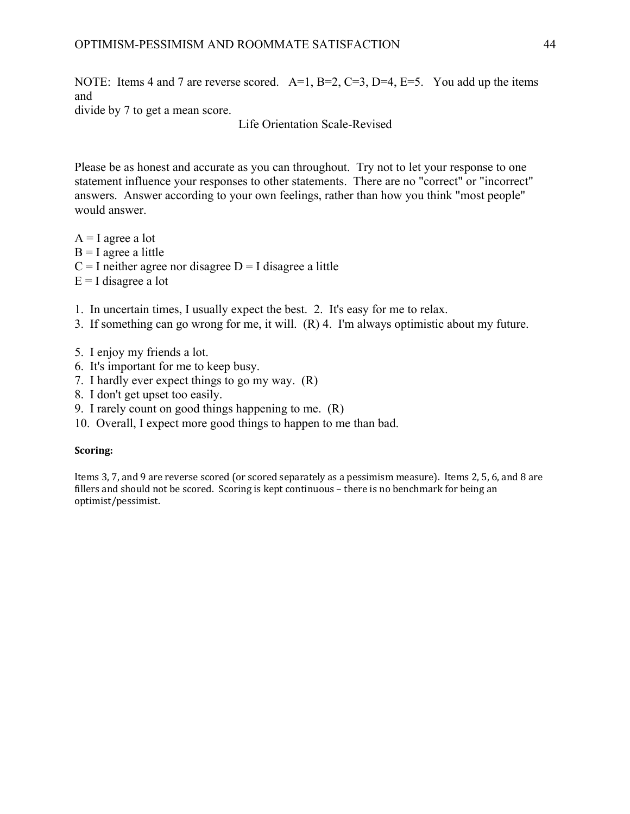NOTE: Items 4 and 7 are reverse scored. A=1, B=2, C=3, D=4, E=5. You add up the items and

divide by 7 to get a mean score.

Life Orientation Scale-Revised

Please be as honest and accurate as you can throughout. Try not to let your response to one statement influence your responses to other statements. There are no "correct" or "incorrect" answers. Answer according to your own feelings, rather than how you think "most people" would answer.

 $A = I$  agree a lot  $B = I$  agree a little  $C = I$  neither agree nor disagree  $D = I$  disagree a little

- $E = I$  disagree a lot
- 1. In uncertain times, I usually expect the best. 2. It's easy for me to relax.
- 3. If something can go wrong for me, it will. (R) 4. I'm always optimistic about my future.
- 5. I enjoy my friends a lot.
- 6. It's important for me to keep busy.
- 7. I hardly ever expect things to go my way. (R)
- 8. I don't get upset too easily.
- 9. I rarely count on good things happening to me. (R)
- 10. Overall, I expect more good things to happen to me than bad.

#### **Scoring:**

Items 3, 7, and 9 are reverse scored (or scored separately as a pessimism measure). Items 2, 5, 6, and 8 are fillers and should not be scored. Scoring is kept continuous - there is no benchmark for being an optimist/pessimist.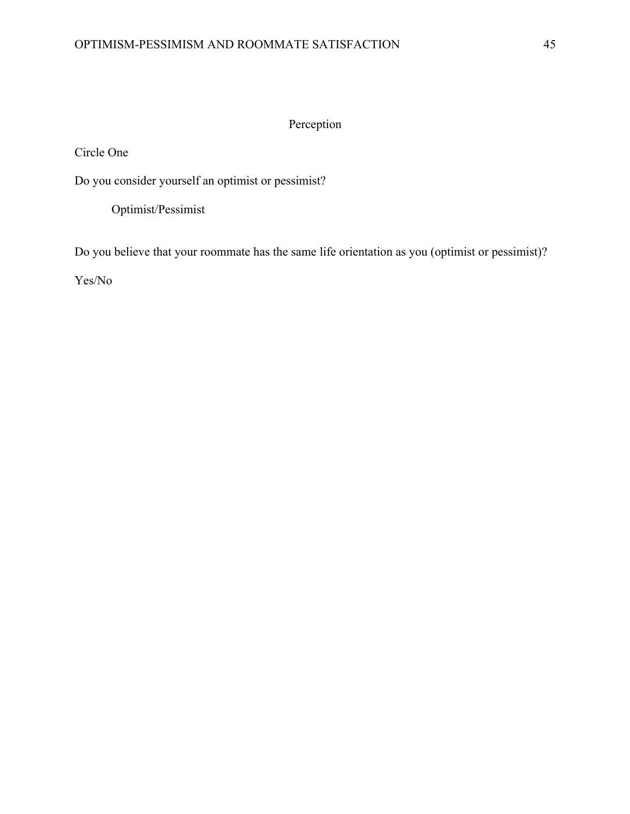# Perception

Circle One

Do you consider yourself an optimist or pessimist?

Optimist/Pessimist

Do you believe that your roommate has the same life orientation as you (optimist or pessimist)?

Yes/No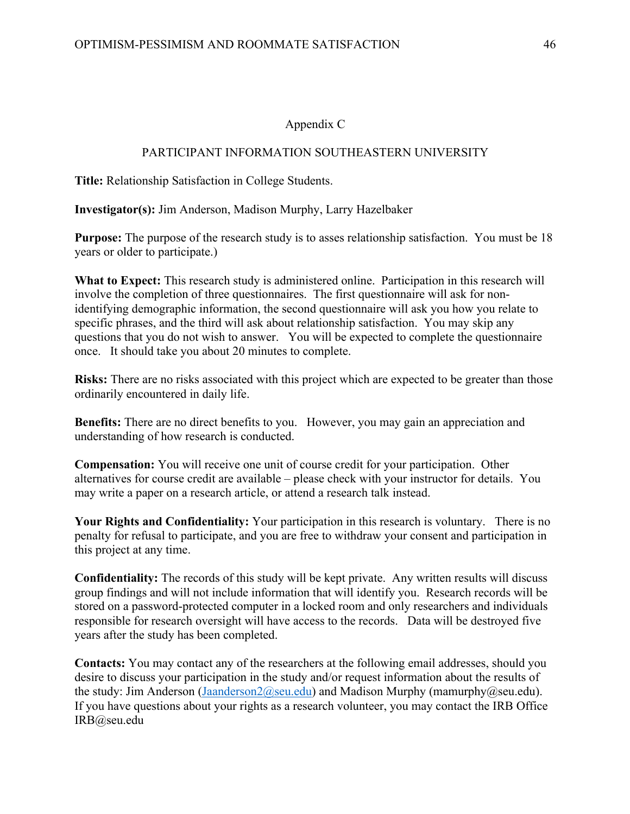# Appendix C

### PARTICIPANT INFORMATION SOUTHEASTERN UNIVERSITY

**Title:** Relationship Satisfaction in College Students.

**Investigator(s):** Jim Anderson, Madison Murphy, Larry Hazelbaker

**Purpose:** The purpose of the research study is to asses relationship satisfaction. You must be 18 years or older to participate.)

**What to Expect:** This research study is administered online. Participation in this research will involve the completion of three questionnaires. The first questionnaire will ask for nonidentifying demographic information, the second questionnaire will ask you how you relate to specific phrases, and the third will ask about relationship satisfaction. You may skip any questions that you do not wish to answer. You will be expected to complete the questionnaire once. It should take you about 20 minutes to complete.

**Risks:** There are no risks associated with this project which are expected to be greater than those ordinarily encountered in daily life.

**Benefits:** There are no direct benefits to you. However, you may gain an appreciation and understanding of how research is conducted.

**Compensation:** You will receive one unit of course credit for your participation. Other alternatives for course credit are available – please check with your instructor for details. You may write a paper on a research article, or attend a research talk instead.

**Your Rights and Confidentiality:** Your participation in this research is voluntary. There is no penalty for refusal to participate, and you are free to withdraw your consent and participation in this project at any time.

**Confidentiality:** The records of this study will be kept private. Any written results will discuss group findings and will not include information that will identify you. Research records will be stored on a password-protected computer in a locked room and only researchers and individuals responsible for research oversight will have access to the records. Data will be destroyed five years after the study has been completed.

**Contacts:** You may contact any of the researchers at the following email addresses, should you desire to discuss your participation in the study and/or request information about the results of the study: Jim Anderson (Jaanderson 2@seu.edu) and Madison Murphy (mamurphy@seu.edu). If you have questions about your rights as a research volunteer, you may contact the IRB Office IRB@seu.edu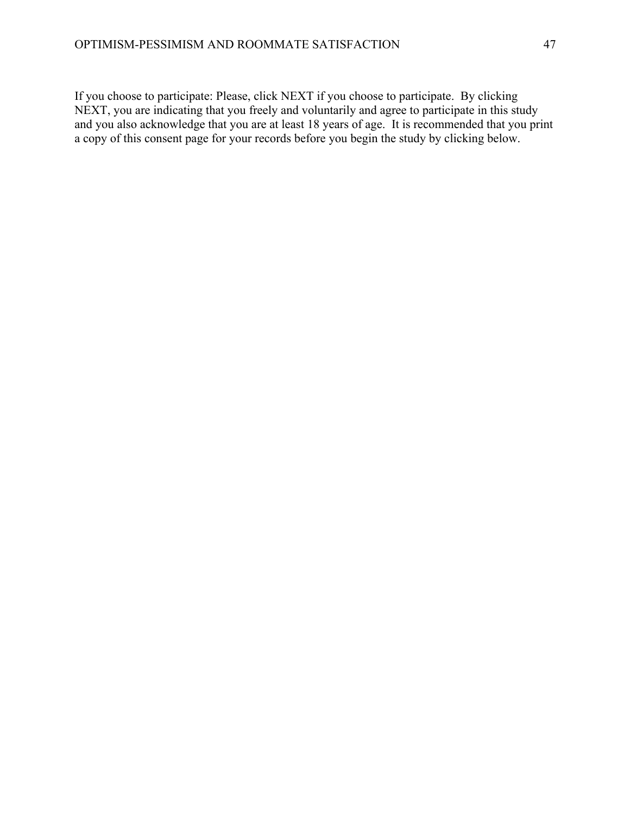If you choose to participate: Please, click NEXT if you choose to participate. By clicking NEXT, you are indicating that you freely and voluntarily and agree to participate in this study and you also acknowledge that you are at least 18 years of age. It is recommended that you print a copy of this consent page for your records before you begin the study by clicking below.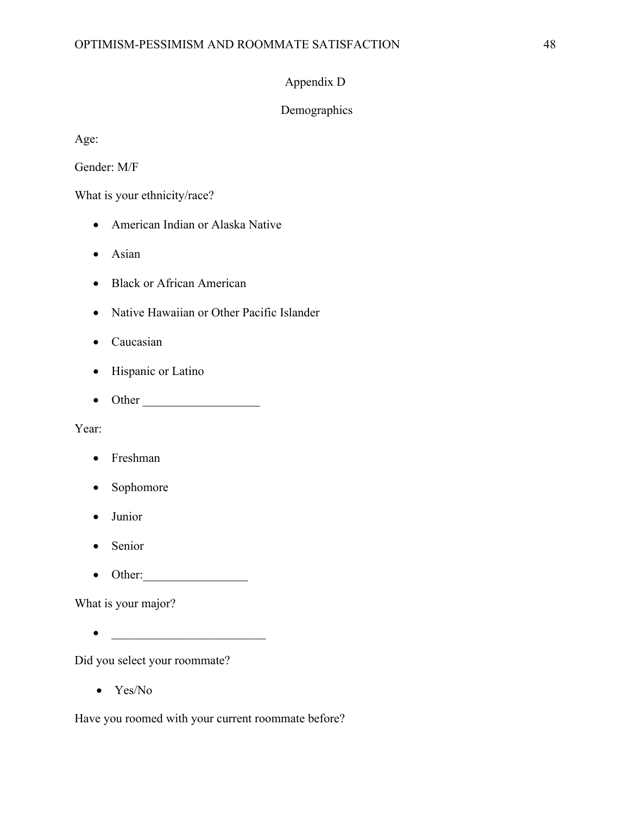# Appendix D

# Demographics

Age:

Gender: M/F

What is your ethnicity/race?

- American Indian or Alaska Native
- Asian
- Black or African American
- Native Hawaiian or Other Pacific Islander
- Caucasian
- Hispanic or Latino
- Other \_\_\_\_\_\_\_\_\_\_\_\_\_\_\_\_\_\_\_

Year:

- Freshman
- Sophomore
- Junior
- Senior
- $\bullet$  Other:

What is your major?

• \_\_\_\_\_\_\_\_\_\_\_\_\_\_\_\_\_\_\_\_\_\_\_\_\_

Did you select your roommate?

• Yes/No

Have you roomed with your current roommate before?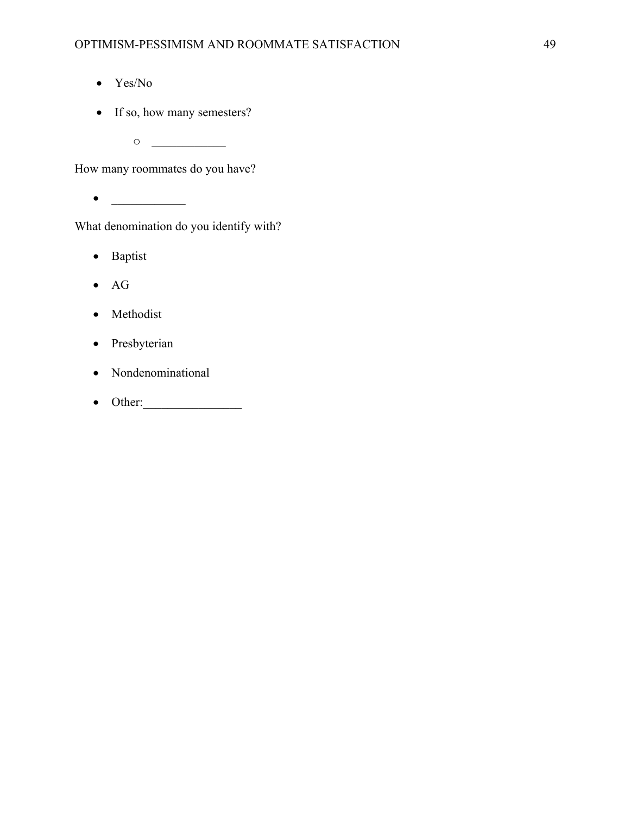- Yes/No
- If so, how many semesters?
	- $\circ$

How many roommates do you have?

• \_\_\_\_\_\_\_\_\_\_\_\_

What denomination do you identify with?

- Baptist
- AG
- Methodist
- Presbyterian
- Nondenominational
- $\bullet$  Other: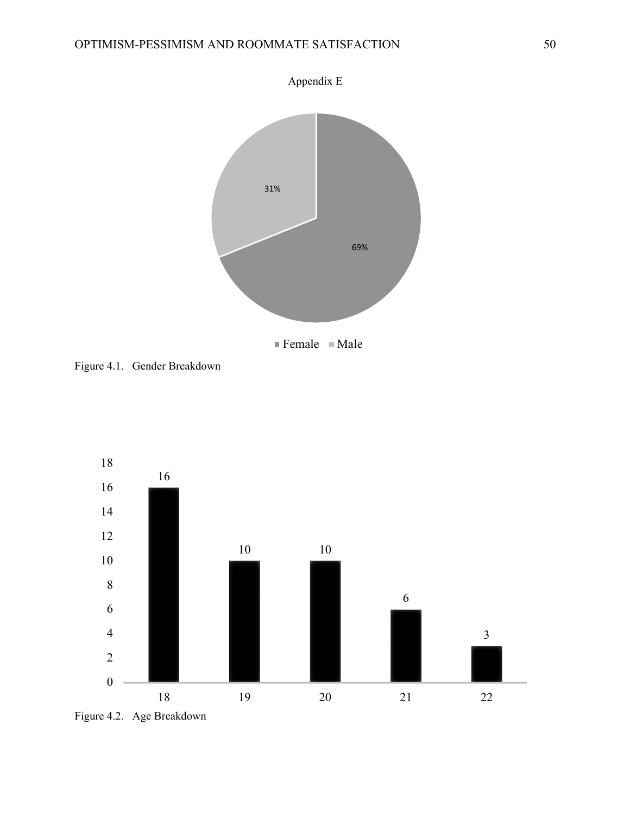

Figure 4.1. Gender Breakdown



Figure 4.2. Age Breakdown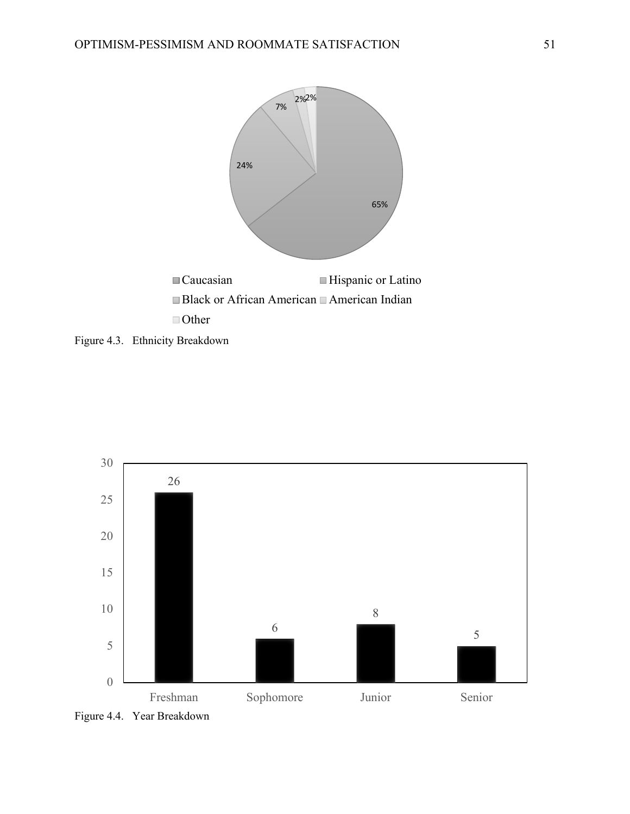

Figure 4.3. Ethnicity Breakdown



Figure 4.4. Year Breakdown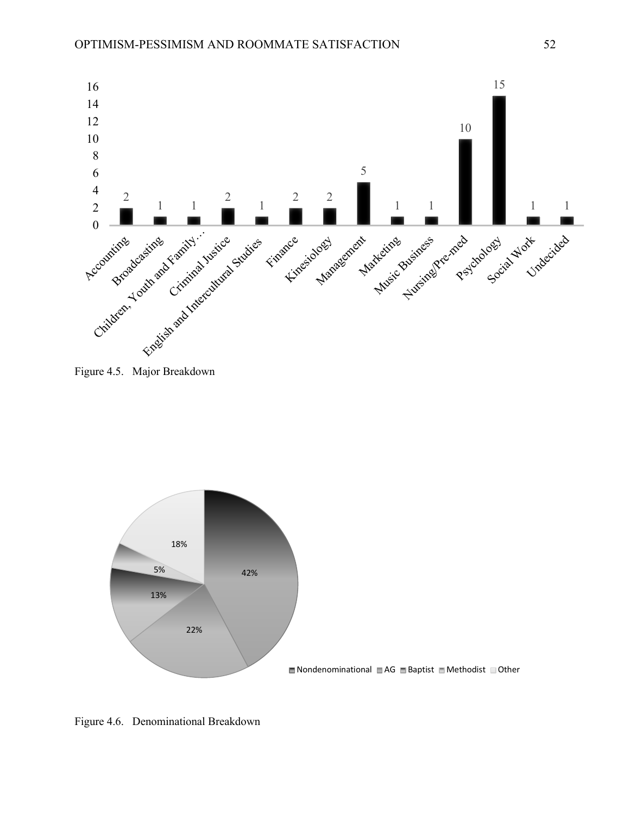

Figure 4.5. Major Breakdown



Figure 4.6. Denominational Breakdown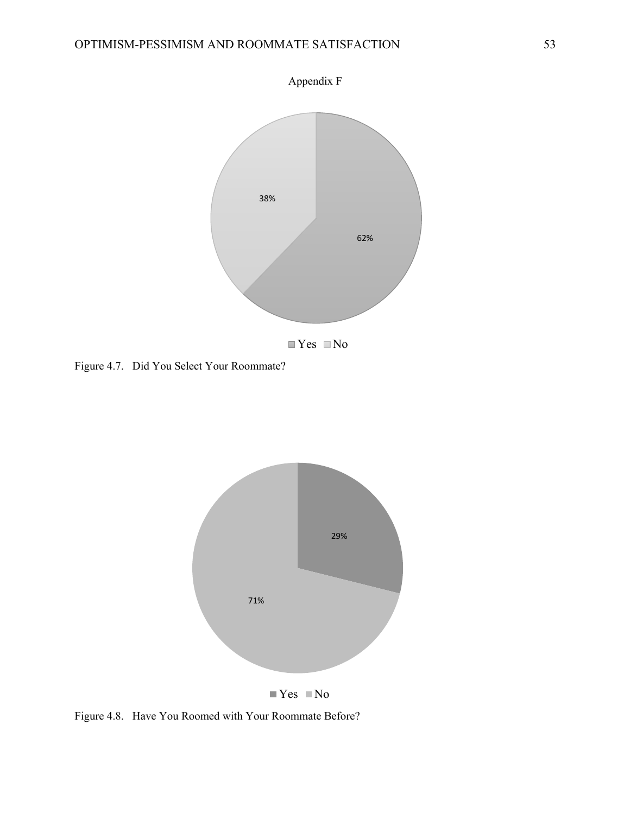

Figure 4.7. Did You Select Your Roommate?



 $\blacksquare$  Yes  $\blacksquare$  No

Figure 4.8. Have You Roomed with Your Roommate Before?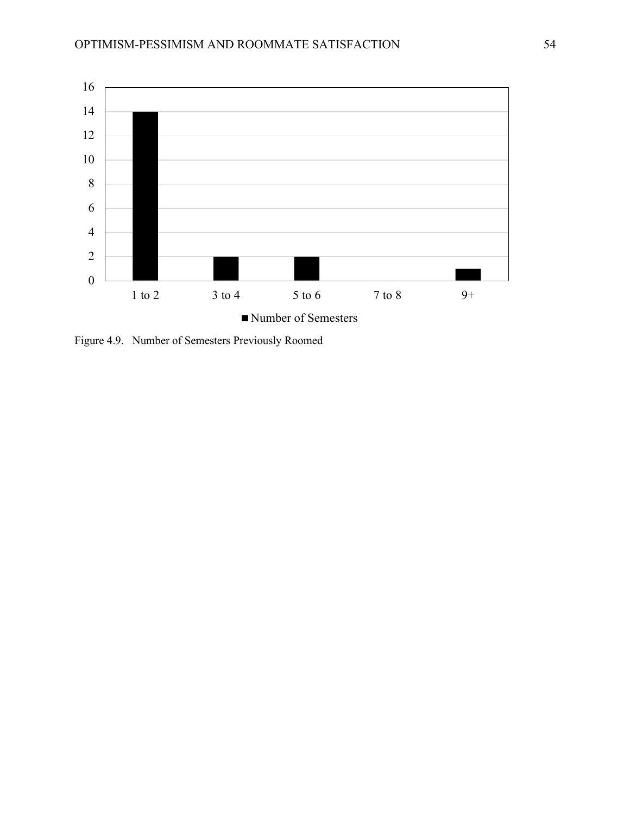

Figure 4.9. Number of Semesters Previously Roomed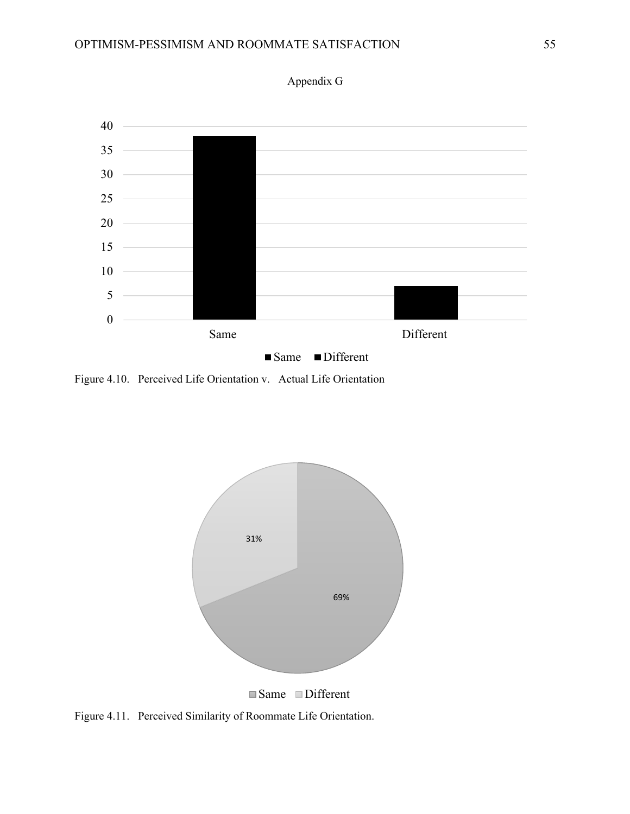

Appendix G

Figure 4.10. Perceived Life Orientation v. Actual Life Orientation



Figure 4.11. Perceived Similarity of Roommate Life Orientation.